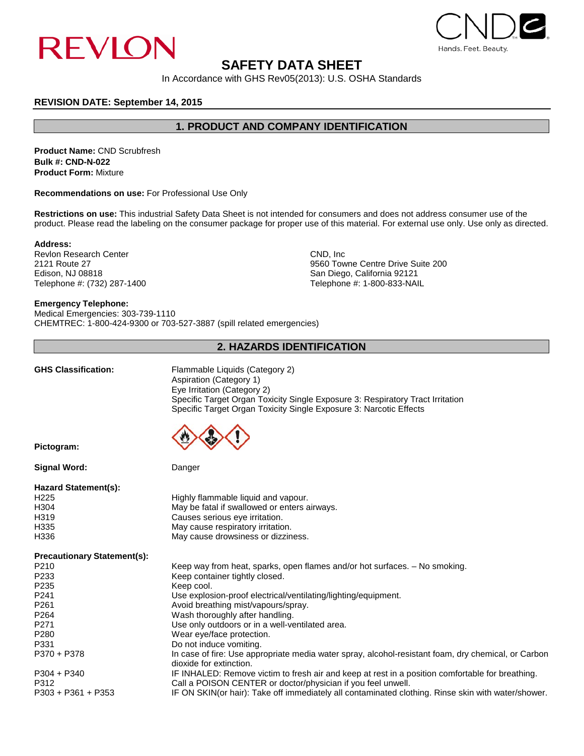



# **SAFETY DATA SHEET**

In Accordance with GHS Rev05(2013): U.S. OSHA Standards

# **REVISION DATE: September 14, 2015**

**1. PRODUCT AND COMPANY IDENTIFICATION**

**Product Name:** CND Scrubfresh **Bulk #: CND-N-022 Product Form:** Mixture

**Recommendations on use:** For Professional Use Only

**Restrictions on use:** This industrial Safety Data Sheet is not intended for consumers and does not address consumer use of the product. Please read the labeling on the consumer package for proper use of this material. For external use only. Use only as directed.

**Address:**

Revlon Research Center CND, Inc. 2121 Route 27 CND, Inc. 2121 Route 27 Edison, NJ 08818<br>
Telephone #: (732) 287-1400 San Diego, California 92121<br>
Telephone #: (1932) 287-1400 San Diego, California 92121

2121 Route 27 **2121 Route 27** 9560 Towne Centre Drive Suite 200 Edison, NJ 08818 Telephone #: 1-800-833-NAIL

## **Emergency Telephone:**

Medical Emergencies: 303-739-1110 CHEMTREC: 1-800-424-9300 or 703-527-3887 (spill related emergencies)

# **2. HAZARDS IDENTIFICATION**

|  | GHS Classification: |  |
|--|---------------------|--|
|  |                     |  |

**Flammable Liquids (Category 2)** Aspiration (Category 1) Eye Irritation (Category 2) Specific Target Organ Toxicity Single Exposure 3: Respiratory Tract Irritation Specific Target Organ Toxicity Single Exposure 3: Narcotic Effects



**Pictogram:** 

**Signal Word:** Danger

**Hazard Statement(s):**

| $\mu$ azaru olalgilici $\mu$ s). |                                              |  |
|----------------------------------|----------------------------------------------|--|
| H <sub>225</sub>                 | Highly flammable liquid and vapour.          |  |
| H <sub>304</sub>                 | May be fatal if swallowed or enters airways. |  |
| H <sub>319</sub>                 | Causes serious eye irritation.               |  |
| H335                             | May cause respiratory irritation.            |  |
| H336                             | May cause drowsiness or dizziness.           |  |
|                                  |                                              |  |

**Precautionary Statement(s):** 

| $\ldots$             |                                                                                                                                |  |  |
|----------------------|--------------------------------------------------------------------------------------------------------------------------------|--|--|
| P <sub>210</sub>     | Keep way from heat, sparks, open flames and/or hot surfaces. – No smoking.                                                     |  |  |
| P <sub>233</sub>     | Keep container tightly closed.                                                                                                 |  |  |
| P <sub>235</sub>     | Keep cool.                                                                                                                     |  |  |
| P <sub>241</sub>     | Use explosion-proof electrical/ventilating/lighting/equipment.                                                                 |  |  |
| P <sub>261</sub>     | Avoid breathing mist/vapours/spray.                                                                                            |  |  |
| P <sub>264</sub>     | Wash thoroughly after handling.                                                                                                |  |  |
| P <sub>271</sub>     | Use only outdoors or in a well-ventilated area.                                                                                |  |  |
| P <sub>280</sub>     | Wear eye/face protection.                                                                                                      |  |  |
| P331                 | Do not induce vomiting.                                                                                                        |  |  |
| P370 + P378          | In case of fire: Use appropriate media water spray, alcohol-resistant foam, dry chemical, or Carbon<br>dioxide for extinction. |  |  |
| $P304 + P340$        | IF INHALED: Remove victim to fresh air and keep at rest in a position comfortable for breathing.                               |  |  |
| P312                 | Call a POISON CENTER or doctor/physician if you feel unwell.                                                                   |  |  |
| $P303 + P361 + P353$ | IF ON SKIN(or hair): Take off immediately all contaminated clothing. Rinse skin with water/shower.                             |  |  |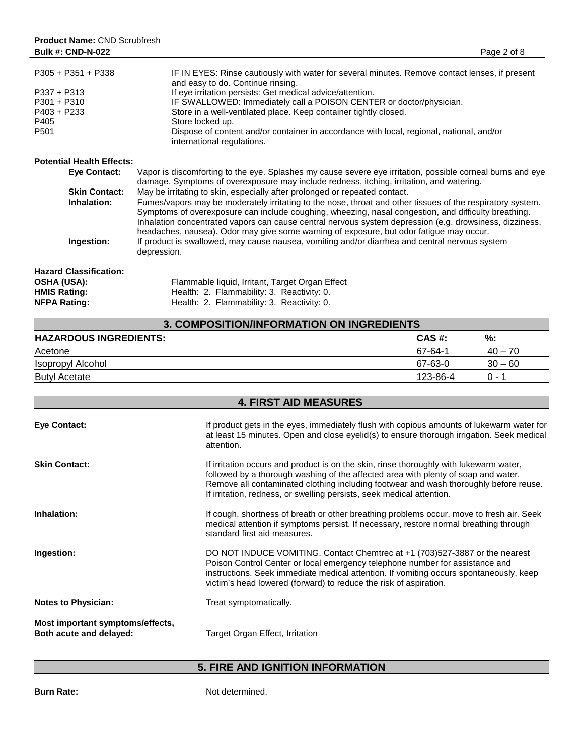| $P305 + P351 + P338$                                    | IF IN EYES: Rinse cautiously with water for several minutes. Remove contact lenses, if present<br>and easy to do. Continue rinsing. |
|---------------------------------------------------------|-------------------------------------------------------------------------------------------------------------------------------------|
| $P337 + P313$                                           | If eye irritation persists: Get medical advice/attention.                                                                           |
| $P301 + P310$                                           | IF SWALLOWED: Immediately call a POISON CENTER or doctor/physician.                                                                 |
| $P403 + P233$                                           | Store in a well-ventilated place. Keep container tightly closed.                                                                    |
| P405                                                    | Store locked up.                                                                                                                    |
| P <sub>501</sub>                                        | Dispose of content and/or container in accordance with local, regional, national, and/or<br>international regulations.              |
| <b>Potential Health Effects:</b><br>$E_{1/2}$ $R_{2/2}$ | Vanor is discomfering to the oug. Coloches my squee covers oug irritation, possible corport burns and oug                           |

| Eve Contact:         | vapor is discomporting to the eye. Spiashes my cause severe eye imitation, possible comeal burns and eye   |
|----------------------|------------------------------------------------------------------------------------------------------------|
|                      | damage. Symptoms of overexposure may include redness, itching, irritation, and watering.                   |
| <b>Skin Contact:</b> | May be irritating to skin, especially after prolonged or repeated contact.                                 |
| Inhalation:          | Fumes/vapors may be moderately irritating to the nose, throat and other tissues of the respiratory system. |
|                      | Symptoms of overexposure can include coughing, wheezing, nasal congestion, and difficulty breathing.       |
|                      | Inhalation concentrated vapors can cause central nervous system depression (e.g. drowsiness, dizziness,    |
|                      | headaches, nausea). Odor may give some warning of exposure, but odor fatique may occur.                    |
| Ingestion:           | If product is swallowed, may cause nausea, vomiting and/or diarrhea and central nervous system             |
|                      | depression.                                                                                                |
|                      |                                                                                                            |
|                      |                                                                                                            |

| <b>Hazard Classification:</b> |                                                 |
|-------------------------------|-------------------------------------------------|
| <b>OSHA (USA):</b>            | Flammable liquid, Irritant, Target Organ Effect |
| <b>HMIS Rating:</b>           | Health: 2. Flammability: 3. Reactivity: 0.      |
| <b>NFPA Rating:</b>           | Health: 2. Flammability: 3. Reactivity: 0.      |
|                               |                                                 |

| 3. COMPOSITION/INFORMATION ON INGREDIENTS |          |           |
|-------------------------------------------|----------|-----------|
| <b>HAZARDOUS INGREDIENTS:</b>             | ICAS #:  | %:        |
| Acetone                                   | 67-64-1  | l 40 – 70 |
| Isopropyl Alcohol                         | 67-63-0  | $30 - 60$ |
| <b>Butyl Acetate</b>                      | 123-86-4 | $0 -$     |

| <b>4. FIRST AID MEASURES</b>                                |                                                                                                                                                                                                                                                                                                                                                |  |
|-------------------------------------------------------------|------------------------------------------------------------------------------------------------------------------------------------------------------------------------------------------------------------------------------------------------------------------------------------------------------------------------------------------------|--|
| <b>Eye Contact:</b>                                         | If product gets in the eyes, immediately flush with copious amounts of lukewarm water for<br>at least 15 minutes. Open and close eyelid(s) to ensure thorough irrigation. Seek medical<br>attention.                                                                                                                                           |  |
| <b>Skin Contact:</b>                                        | If irritation occurs and product is on the skin, rinse thoroughly with lukewarm water,<br>followed by a thorough washing of the affected area with plenty of soap and water.<br>Remove all contaminated clothing including footwear and wash thoroughly before reuse.<br>If irritation, redness, or swelling persists, seek medical attention. |  |
| Inhalation:                                                 | If cough, shortness of breath or other breathing problems occur, move to fresh air. Seek<br>medical attention if symptoms persist. If necessary, restore normal breathing through<br>standard first aid measures.                                                                                                                              |  |
| Ingestion:                                                  | DO NOT INDUCE VOMITING. Contact Chemirec at +1 (703) 527-3887 or the nearest<br>Poison Control Center or local emergency telephone number for assistance and<br>instructions. Seek immediate medical attention. If vomiting occurs spontaneously, keep<br>victim's head lowered (forward) to reduce the risk of aspiration.                    |  |
| <b>Notes to Physician:</b>                                  | Treat symptomatically.                                                                                                                                                                                                                                                                                                                         |  |
| Most important symptoms/effects,<br>Both acute and delayed: | Target Organ Effect, Irritation                                                                                                                                                                                                                                                                                                                |  |

# **5. FIRE AND IGNITION INFORMATION**

**Burn Rate:** Not determined.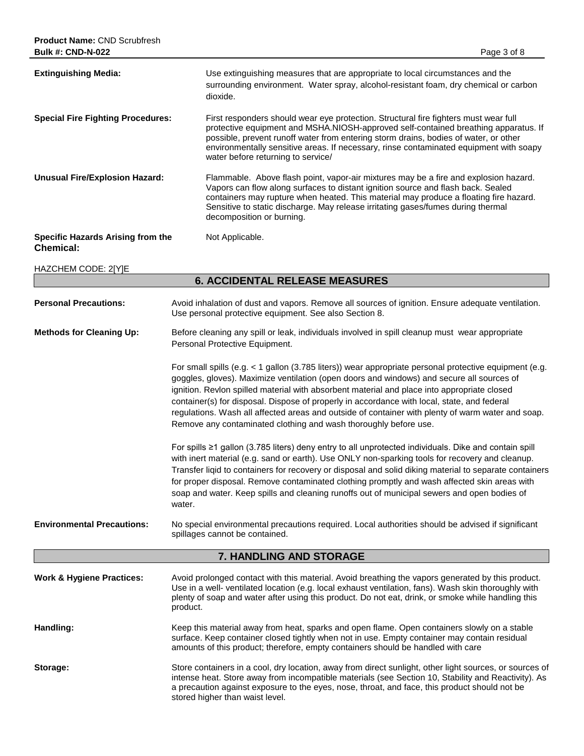| <b>Bulk #: CND-N-022</b>                              | Page 3 of 8                                                                                                                                                                                                                                                                                                                                                                                                                                                                                                                                                                |  |
|-------------------------------------------------------|----------------------------------------------------------------------------------------------------------------------------------------------------------------------------------------------------------------------------------------------------------------------------------------------------------------------------------------------------------------------------------------------------------------------------------------------------------------------------------------------------------------------------------------------------------------------------|--|
| <b>Extinguishing Media:</b>                           | Use extinguishing measures that are appropriate to local circumstances and the<br>surrounding environment. Water spray, alcohol-resistant foam, dry chemical or carbon<br>dioxide.                                                                                                                                                                                                                                                                                                                                                                                         |  |
| <b>Special Fire Fighting Procedures:</b>              | First responders should wear eye protection. Structural fire fighters must wear full<br>protective equipment and MSHA.NIOSH-approved self-contained breathing apparatus. If<br>possible, prevent runoff water from entering storm drains, bodies of water, or other<br>environmentally sensitive areas. If necessary, rinse contaminated equipment with soapy<br>water before returning to service/                                                                                                                                                                        |  |
| <b>Unusual Fire/Explosion Hazard:</b>                 | Flammable. Above flash point, vapor-air mixtures may be a fire and explosion hazard.<br>Vapors can flow along surfaces to distant ignition source and flash back. Sealed<br>containers may rupture when heated. This material may produce a floating fire hazard.<br>Sensitive to static discharge. May release irritating gases/fumes during thermal<br>decomposition or burning.                                                                                                                                                                                         |  |
| Specific Hazards Arising from the<br><b>Chemical:</b> | Not Applicable.                                                                                                                                                                                                                                                                                                                                                                                                                                                                                                                                                            |  |
| HAZCHEM CODE: 2[Y]E                                   |                                                                                                                                                                                                                                                                                                                                                                                                                                                                                                                                                                            |  |
|                                                       | <b>6. ACCIDENTAL RELEASE MEASURES</b>                                                                                                                                                                                                                                                                                                                                                                                                                                                                                                                                      |  |
| <b>Personal Precautions:</b>                          | Avoid inhalation of dust and vapors. Remove all sources of ignition. Ensure adequate ventilation.<br>Use personal protective equipment. See also Section 8.                                                                                                                                                                                                                                                                                                                                                                                                                |  |
| <b>Methods for Cleaning Up:</b>                       | Before cleaning any spill or leak, individuals involved in spill cleanup must wear appropriate<br>Personal Protective Equipment.                                                                                                                                                                                                                                                                                                                                                                                                                                           |  |
|                                                       | For small spills (e.g. < 1 gallon (3.785 liters)) wear appropriate personal protective equipment (e.g.<br>goggles, gloves). Maximize ventilation (open doors and windows) and secure all sources of<br>ignition. Revlon spilled material with absorbent material and place into appropriate closed<br>container(s) for disposal. Dispose of properly in accordance with local, state, and federal<br>regulations. Wash all affected areas and outside of container with plenty of warm water and soap.<br>Remove any contaminated clothing and wash thoroughly before use. |  |
|                                                       | For spills ≥1 gallon (3.785 liters) deny entry to all unprotected individuals. Dike and contain spill<br>with inert material (e.g. sand or earth). Use ONLY non-sparking tools for recovery and cleanup.<br>Transfer ligid to containers for recovery or disposal and solid diking material to separate containers<br>for proper disposal. Remove contaminated clothing promptly and wash affected skin areas with<br>soap and water. Keep spills and cleaning runoffs out of municipal sewers and open bodies of<br>water.                                                |  |
| <b>Environmental Precautions:</b>                     | No special environmental precautions required. Local authorities should be advised if significant<br>spillages cannot be contained.                                                                                                                                                                                                                                                                                                                                                                                                                                        |  |
|                                                       | 7. HANDLING AND STORAGE                                                                                                                                                                                                                                                                                                                                                                                                                                                                                                                                                    |  |
| <b>Work &amp; Hygiene Practices:</b>                  | Avoid prolonged contact with this material. Avoid breathing the vapors generated by this product.<br>Use in a well- ventilated location (e.g. local exhaust ventilation, fans). Wash skin thoroughly with<br>plenty of soap and water after using this product. Do not eat, drink, or smoke while handling this<br>product.                                                                                                                                                                                                                                                |  |

- **Handling:** Keep this material away from heat, sparks and open flame. Open containers slowly on a stable surface. Keep container closed tightly when not in use. Empty container may contain residual amounts of this product; therefore, empty containers should be handled with care
- **Storage:** Store containers in a cool, dry location, away from direct sunlight, other light sources, or sources of intense heat. Store away from incompatible materials (see Section 10, Stability and Reactivity). As a precaution against exposure to the eyes, nose, throat, and face, this product should not be stored higher than waist level.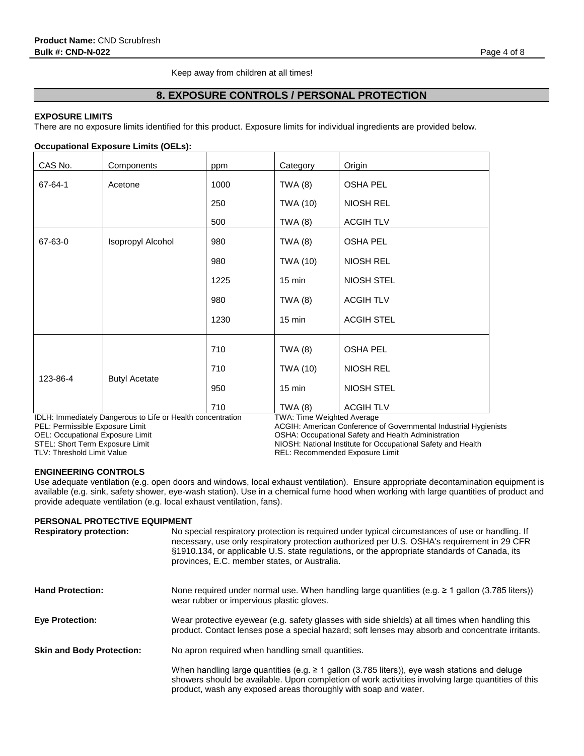Keep away from children at all times!

# **8. EXPOSURE CONTROLS / PERSONAL PROTECTION**

# **EXPOSURE LIMITS**

There are no exposure limits identified for this product. Exposure limits for individual ingredients are provided below.

# **Occupational Exposure Limits (OELs):**

| CAS No.  | Components           | ppm  | Category         | Origin            |
|----------|----------------------|------|------------------|-------------------|
| 67-64-1  | Acetone              | 1000 | TWA $(8)$        | <b>OSHA PEL</b>   |
|          |                      | 250  | TWA (10)         | <b>NIOSH REL</b>  |
|          |                      | 500  | <b>TWA (8)</b>   | <b>ACGIH TLV</b>  |
| 67-63-0  | Isopropyl Alcohol    | 980  | TWA $(8)$        | <b>OSHA PEL</b>   |
|          |                      | 980  | TWA (10)         | <b>NIOSH REL</b>  |
|          |                      | 1225 | $15 \text{ min}$ | <b>NIOSH STEL</b> |
|          |                      | 980  | <b>TWA (8)</b>   | <b>ACGIHTLV</b>   |
|          |                      | 1230 | $15 \text{ min}$ | <b>ACGIH STEL</b> |
|          |                      | 710  | <b>TWA (8)</b>   | <b>OSHA PEL</b>   |
| 123-86-4 | <b>Butyl Acetate</b> | 710  | TWA (10)         | <b>NIOSH REL</b>  |
|          |                      | 950  | $15 \text{ min}$ | <b>NIOSH STEL</b> |
|          |                      | 710  | <b>TWA (8)</b>   | <b>ACGIHTLV</b>   |

IDLH: Immediately Dangerous to Life or Health concentration TWA: Time Weighted Average<br>PEL: Permissible Exposure Limit Conference ACGIH: American Conference

PEL: Permissible Exposure Limit **ACGIH: American Conference of Governmental Industrial Hygienists**<br>
OSHA: Occupational Accupational Safety and Health Administration OEL: Occupational Exposure Limit **OSHA: Occupational Safety and Health Administration**<br>STEL: Short Term Exposure Limit **Canadia Safety and Health Administration** NIOSH: National Institute for Occupational Safety and H STEL: Short Term Exposure Limit NIOSH: National Institute for Occupational Safety and Health<br>TLV: Threshold Limit Value TLV: Network REL: Recommended Exposure Limit REL: Recommended Exposure Limit

# **ENGINEERING CONTROLS**

Use adequate ventilation (e.g. open doors and windows, local exhaust ventilation). Ensure appropriate decontamination equipment is available (e.g. sink, safety shower, eye-wash station). Use in a chemical fume hood when working with large quantities of product and provide adequate ventilation (e.g. local exhaust ventilation, fans).

# **PERSONAL PROTECTIVE EQUIPMENT**

| <b>Respiratory protection:</b>   | No special respiratory protection is required under typical circumstances of use or handling. If<br>necessary, use only respiratory protection authorized per U.S. OSHA's requirement in 29 CFR<br>§1910.134, or applicable U.S. state regulations, or the appropriate standards of Canada, its<br>provinces, E.C. member states, or Australia. |
|----------------------------------|-------------------------------------------------------------------------------------------------------------------------------------------------------------------------------------------------------------------------------------------------------------------------------------------------------------------------------------------------|
| <b>Hand Protection:</b>          | None required under normal use. When handling large quantities (e.g. $\geq 1$ gallon (3.785 liters))<br>wear rubber or impervious plastic gloves.                                                                                                                                                                                               |
| <b>Eye Protection:</b>           | Wear protective eyewear (e.g. safety glasses with side shields) at all times when handling this<br>product. Contact lenses pose a special hazard; soft lenses may absorb and concentrate irritants.                                                                                                                                             |
| <b>Skin and Body Protection:</b> | No apron required when handling small quantities.                                                                                                                                                                                                                                                                                               |
|                                  | When handling large quantities (e.g. $\geq 1$ gallon (3.785 liters)), eye wash stations and deluge<br>showers should be available. Upon completion of work activities involving large quantities of this<br>product, wash any exposed areas thoroughly with soap and water.                                                                     |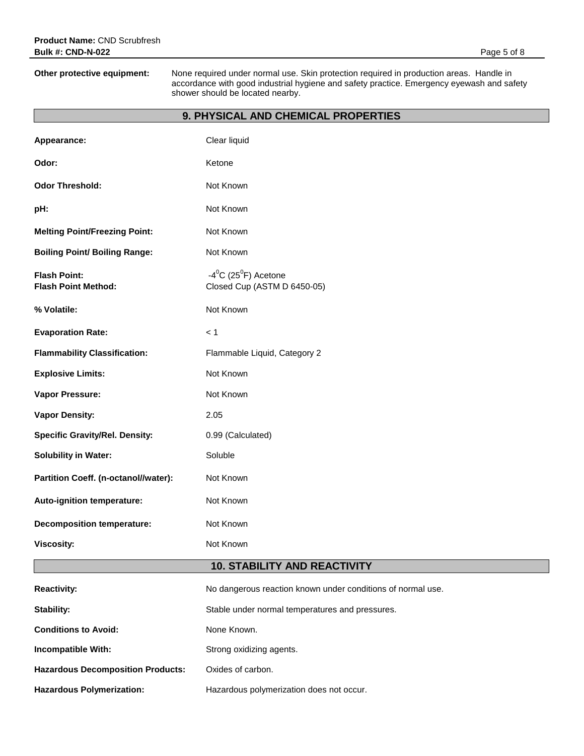**Other protective equipment:** None required under normal use. Skin protection required in production areas. Handle in accordance with good industrial hygiene and safety practice. Emergency eyewash and safety shower should be located nearby.

# **9. PHYSICAL AND CHEMICAL PROPERTIES**

| Appearance:                                       | Clear liquid                                                       |
|---------------------------------------------------|--------------------------------------------------------------------|
| Odor:                                             | Ketone                                                             |
| <b>Odor Threshold:</b>                            | Not Known                                                          |
| pH:                                               | Not Known                                                          |
| <b>Melting Point/Freezing Point:</b>              | Not Known                                                          |
| <b>Boiling Point/ Boiling Range:</b>              | Not Known                                                          |
| <b>Flash Point:</b><br><b>Flash Point Method:</b> | $-4^0C$ (25 <sup>0</sup> F) Acetone<br>Closed Cup (ASTM D 6450-05) |
| % Volatile:                                       | Not Known                                                          |
| <b>Evaporation Rate:</b>                          | < 1                                                                |
| <b>Flammability Classification:</b>               | Flammable Liquid, Category 2                                       |
| <b>Explosive Limits:</b>                          | Not Known                                                          |
| Vapor Pressure:                                   | Not Known                                                          |
| <b>Vapor Density:</b>                             | 2.05                                                               |
| <b>Specific Gravity/Rel. Density:</b>             | 0.99 (Calculated)                                                  |
| <b>Solubility in Water:</b>                       | Soluble                                                            |
| Partition Coeff. (n-octanol//water):              | Not Known                                                          |
| Auto-ignition temperature:                        | Not Known                                                          |
| <b>Decomposition temperature:</b>                 | Not Known                                                          |
| <b>Viscosity:</b>                                 | Not Known                                                          |
|                                                   | <b>10. STABILITY AND REACTIVITY</b>                                |
| <b>Reactivity:</b>                                | No dangerous reaction known under conditions of normal use.        |
| <b>Stability:</b>                                 | Stable under normal temperatures and pressures.                    |
| <b>Conditions to Avoid:</b>                       | None Known.                                                        |
| Incompatible With:                                | Strong oxidizing agents.                                           |
| <b>Hazardous Decomposition Products:</b>          | Oxides of carbon.                                                  |
| <b>Hazardous Polymerization:</b>                  | Hazardous polymerization does not occur.                           |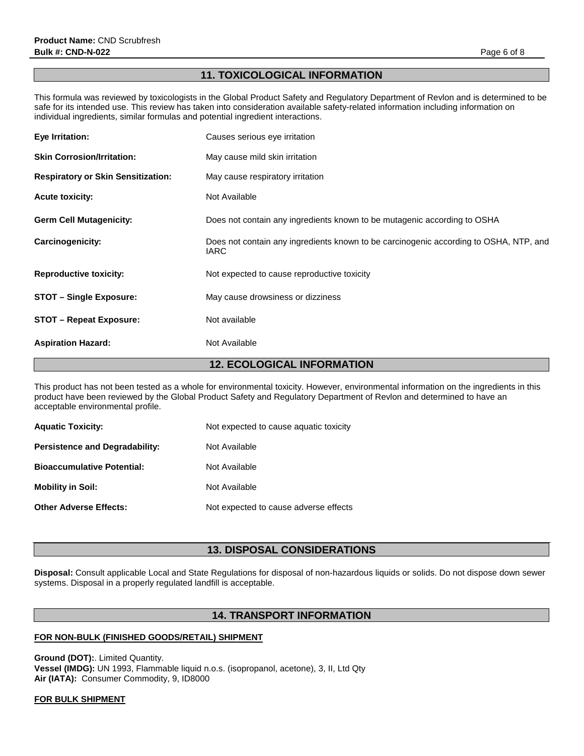# **11. TOXICOLOGICAL INFORMATION**

This formula was reviewed by toxicologists in the Global Product Safety and Regulatory Department of Revlon and is determined to be safe for its intended use. This review has taken into consideration available safety-related information including information on individual ingredients, similar formulas and potential ingredient interactions.

| Eye Irritation:                           | Causes serious eye irritation                                                                        |
|-------------------------------------------|------------------------------------------------------------------------------------------------------|
| <b>Skin Corrosion/Irritation:</b>         | May cause mild skin irritation                                                                       |
| <b>Respiratory or Skin Sensitization:</b> | May cause respiratory irritation                                                                     |
| <b>Acute toxicity:</b>                    | Not Available                                                                                        |
| <b>Germ Cell Mutagenicity:</b>            | Does not contain any ingredients known to be mutagenic according to OSHA                             |
| Carcinogenicity:                          | Does not contain any ingredients known to be carcinogenic according to OSHA, NTP, and<br><b>IARC</b> |
| <b>Reproductive toxicity:</b>             | Not expected to cause reproductive toxicity                                                          |
| <b>STOT - Single Exposure:</b>            | May cause drowsiness or dizziness                                                                    |
| <b>STOT – Repeat Exposure:</b>            | Not available                                                                                        |
| <b>Aspiration Hazard:</b>                 | Not Available                                                                                        |

# **12. ECOLOGICAL INFORMATION**

This product has not been tested as a whole for environmental toxicity. However, environmental information on the ingredients in this product have been reviewed by the Global Product Safety and Regulatory Department of Revlon and determined to have an acceptable environmental profile.

| <b>Aquatic Toxicity:</b>              | Not expected to cause aquatic toxicity |
|---------------------------------------|----------------------------------------|
| <b>Persistence and Degradability:</b> | Not Available                          |
| <b>Bioaccumulative Potential:</b>     | Not Available                          |
| <b>Mobility in Soil:</b>              | Not Available                          |
| <b>Other Adverse Effects:</b>         | Not expected to cause adverse effects  |

# **13. DISPOSAL CONSIDERATIONS**

**Disposal:** Consult applicable Local and State Regulations for disposal of non-hazardous liquids or solids. Do not dispose down sewer systems. Disposal in a properly regulated landfill is acceptable.

# **14. TRANSPORT INFORMATION**

# **FOR NON-BULK (FINISHED GOODS/RETAIL) SHIPMENT**

**Ground (DOT):**. Limited Quantity. **Vessel (IMDG):** UN 1993, Flammable liquid n.o.s. (isopropanol, acetone), 3, II, Ltd Qty **Air (IATA):** Consumer Commodity, 9, ID8000

# **FOR BULK SHIPMENT**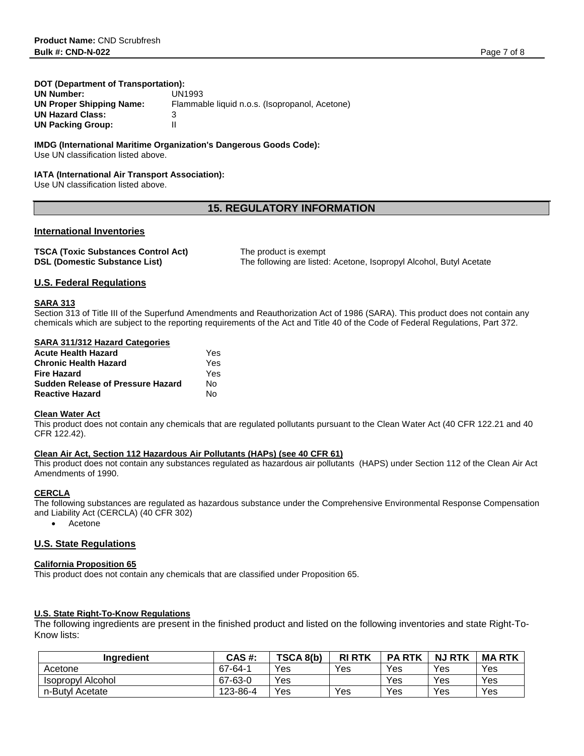# **DOT (Department of Transportation):**

| <b>UN Number:</b>        | UN1993                                         |
|--------------------------|------------------------------------------------|
| UN Proper Shipping Name: | Flammable liquid n.o.s. (Isopropanol, Acetone) |
| <b>UN Hazard Class:</b>  |                                                |
| <b>UN Packing Group:</b> |                                                |

# **IMDG (International Maritime Organization's Dangerous Goods Code):**

Use UN classification listed above.

# **IATA (International Air Transport Association):**

Use UN classification listed above.

# **15. REGULATORY INFORMATION**

# **International Inventories**

| <b>TSCA (Toxic Substances Control Act)</b> | The product is exempt                                               |
|--------------------------------------------|---------------------------------------------------------------------|
| <b>DSL (Domestic Substance List)</b>       | The following are listed: Acetone, Isopropyl Alcohol, Butyl Acetate |

# **U.S. Federal Regulations**

# **SARA 313**

Section 313 of Title III of the Superfund Amendments and Reauthorization Act of 1986 (SARA). This product does not contain any chemicals which are subject to the reporting requirements of the Act and Title 40 of the Code of Federal Regulations, Part 372.

| <b>SARA 311/312 Hazard Categories</b>    |     |
|------------------------------------------|-----|
| <b>Acute Health Hazard</b>               | Yes |
| <b>Chronic Health Hazard</b>             | Yes |
| <b>Fire Hazard</b>                       | Yes |
| <b>Sudden Release of Pressure Hazard</b> | N٥  |
| <b>Reactive Hazard</b>                   | N٥  |

# **Clean Water Act**

This product does not contain any chemicals that are regulated pollutants pursuant to the Clean Water Act (40 CFR 122.21 and 40 CFR 122.42).

# **Clean Air Act, Section 112 Hazardous Air Pollutants (HAPs) (see 40 CFR 61)**

This product does not contain any substances regulated as hazardous air pollutants (HAPS) under Section 112 of the Clean Air Act Amendments of 1990.

# **CERCLA**

The following substances are regulated as hazardous substance under the Comprehensive Environmental Response Compensation and Liability Act (CERCLA) (40 CFR 302)

• Acetone

# **U.S. State Regulations**

## **California Proposition 65**

This product does not contain any chemicals that are classified under Proposition 65.

# **U.S. State Right-To-Know Regulations**

The following ingredients are present in the finished product and listed on the following inventories and state Right-To-Know lists:

| Inaredient        | CAS #:   | TSCA 8(b) | <b>RI RTK</b> | <b>PARTK</b> | <b>NJ RTK</b> | <b>MARTK</b> |
|-------------------|----------|-----------|---------------|--------------|---------------|--------------|
| Acetone           | 67-64-1  | Yes       | Yes           | Yes          | Yes           | Yes          |
| Isopropyl Alcohol | 67-63-0  | Yes       |               | Yes          | Yes           | Yes          |
| n-Butyl Acetate   | 123-86-4 | Yes       | Yes           | Yes          | Yes           | Yes          |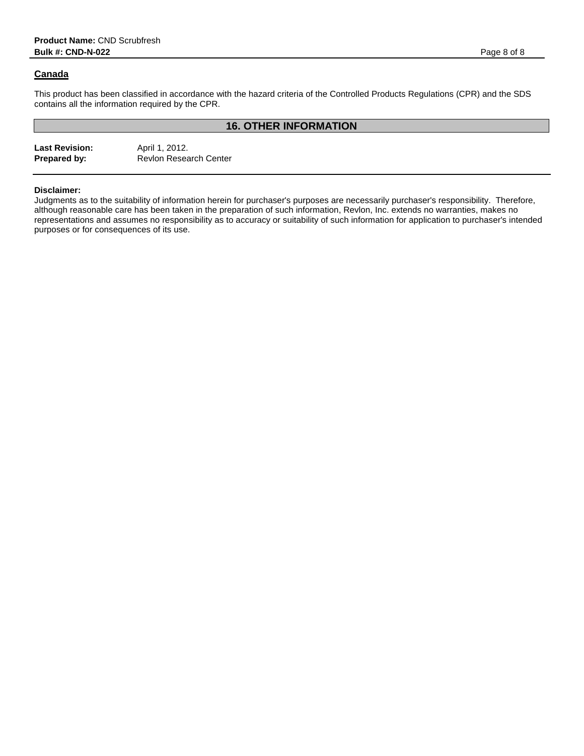# **Canada**

This product has been classified in accordance with the hazard criteria of the Controlled Products Regulations (CPR) and the SDS contains all the information required by the CPR.

# **16. OTHER INFORMATION**

Last Revision: April 1, 2012.<br> **Prepared by:** Revlon Resea **Revlon Research Center** 

# **Disclaimer:**

Judgments as to the suitability of information herein for purchaser's purposes are necessarily purchaser's responsibility. Therefore, although reasonable care has been taken in the preparation of such information, Revlon, Inc. extends no warranties, makes no representations and assumes no responsibility as to accuracy or suitability of such information for application to purchaser's intended purposes or for consequences of its use.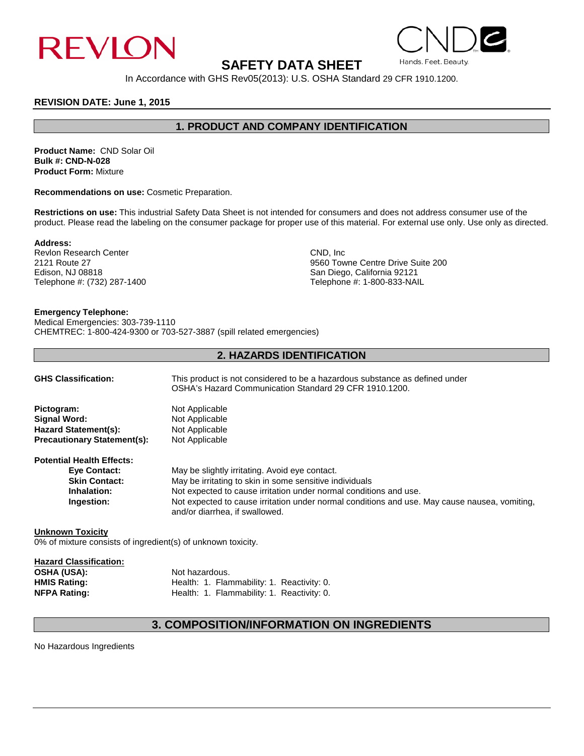

# **SAFETY DATA SHEET**

In Accordance with GHS Rev05(2013): U.S. OSHA Standard 29 CFR 1910.1200.

# **REVISION DATE: June 1, 2015**

# **1. PRODUCT AND COMPANY IDENTIFICATION**

**Product Name:** CND Solar Oil **Bulk #: CND-N-028 Product Form:** Mixture

**Recommendations on use:** Cosmetic Preparation.

**Restrictions on use:** This industrial Safety Data Sheet is not intended for consumers and does not address consumer use of the product. Please read the labeling on the consumer package for proper use of this material. For external use only. Use only as directed.

## **Address:**

Revlon Research Center CND, Inc. 2121 Route 27 CND, Inc. 2121 Route 27 Telephone #: (732) 287-1400

2121 Route 27 **2121 Route 27** 9560 Towne Centre Drive Suite 200 **Control Centre Drive Suite 200** 8 and Diego, California 92121 San Diego, California 92121<br>Telephone #: 1-800-833-NAIL

# **Emergency Telephone:**

Medical Emergencies: 303-739-1110 CHEMTREC: 1-800-424-9300 or 703-527-3887 (spill related emergencies)

# **2. HAZARDS IDENTIFICATION**

| <b>GHS Classification:</b>         | This product is not considered to be a hazardous substance as defined under<br>OSHA's Hazard Communication Standard 29 CFR 1910.1200. |
|------------------------------------|---------------------------------------------------------------------------------------------------------------------------------------|
| Pictogram:                         | Not Applicable                                                                                                                        |
| Signal Word:                       | Not Applicable                                                                                                                        |
| <b>Hazard Statement(s):</b>        | Not Applicable                                                                                                                        |
| <b>Precautionary Statement(s):</b> | Not Applicable                                                                                                                        |
| <b>Potential Health Effects:</b>   |                                                                                                                                       |
| <b>Eve Contact:</b>                | May be slightly irritating. Avoid eye contact.                                                                                        |
| <b>Skin Contact:</b>               | May be irritating to skin in some sensitive individuals                                                                               |
| Inhalation:                        | Not expected to cause irritation under normal conditions and use.                                                                     |
| Ingestion:                         | Not expected to cause irritation under normal conditions and use. May cause nausea, vomiting,<br>and/or diarrhea, if swallowed.       |
| <b>Unknown Toxicity</b>            |                                                                                                                                       |

0% of mixture consists of ingredient(s) of unknown toxicity.

| <b>Hazard Classification:</b> |                                            |
|-------------------------------|--------------------------------------------|
| <b>OSHA (USA):</b>            | Not hazardous.                             |
| <b>HMIS Rating:</b>           | Health: 1. Flammability: 1. Reactivity: 0. |
| <b>NFPA Rating:</b>           | Health: 1. Flammability: 1. Reactivity: 0. |

# **3. COMPOSITION/INFORMATION ON INGREDIENTS**

No Hazardous Ingredients



Hands, Feet, Beauty.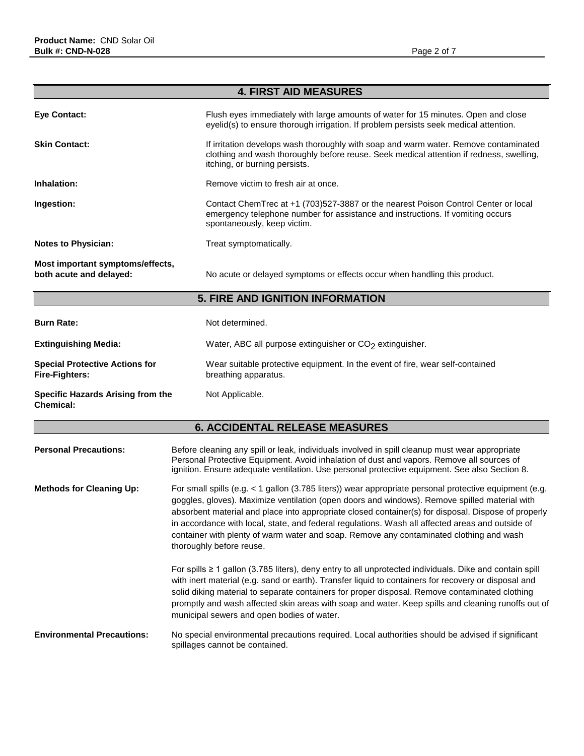**Chemical:** 

|                                                             | <b>4. FIRST AID MEASURES</b>                                                                                                                                                                                     |
|-------------------------------------------------------------|------------------------------------------------------------------------------------------------------------------------------------------------------------------------------------------------------------------|
| Eye Contact:                                                | Flush eyes immediately with large amounts of water for 15 minutes. Open and close<br>eyelid(s) to ensure thorough irrigation. If problem persists seek medical attention.                                        |
| <b>Skin Contact:</b>                                        | If irritation develops wash thoroughly with soap and warm water. Remove contaminated<br>clothing and wash thoroughly before reuse. Seek medical attention if redness, swelling,<br>itching, or burning persists. |
| Inhalation:                                                 | Remove victim to fresh air at once.                                                                                                                                                                              |
| Ingestion:                                                  | Contact ChemTrec at +1 (703)527-3887 or the nearest Poison Control Center or local<br>emergency telephone number for assistance and instructions. If vomiting occurs<br>spontaneously, keep victim.              |
| <b>Notes to Physician:</b>                                  | Treat symptomatically.                                                                                                                                                                                           |
| Most important symptoms/effects,<br>both acute and delayed: | No acute or delayed symptoms or effects occur when handling this product.                                                                                                                                        |
| <b>5. FIRE AND IGNITION INFORMATION</b>                     |                                                                                                                                                                                                                  |
| <b>Burn Rate:</b>                                           | Not determined.                                                                                                                                                                                                  |

| <b>Extinguishing Media:</b>                                    | Water, ABC all purpose extinguisher or $CO2$ extinguisher.                                            |
|----------------------------------------------------------------|-------------------------------------------------------------------------------------------------------|
| <b>Special Protective Actions for</b><br><b>Fire-Fighters:</b> | Wear suitable protective equipment. In the event of fire, wear self-contained<br>breathing apparatus. |
| Specific Hazards Arising from the                              | Not Applicable.                                                                                       |

# **6. ACCIDENTAL RELEASE MEASURES**

| <b>Personal Precautions:</b>      | Before cleaning any spill or leak, individuals involved in spill cleanup must wear appropriate<br>Personal Protective Equipment. Avoid inhalation of dust and vapors. Remove all sources of<br>ignition. Ensure adequate ventilation. Use personal protective equipment. See also Section 8.                                                                                                                                                                                                                                              |
|-----------------------------------|-------------------------------------------------------------------------------------------------------------------------------------------------------------------------------------------------------------------------------------------------------------------------------------------------------------------------------------------------------------------------------------------------------------------------------------------------------------------------------------------------------------------------------------------|
| <b>Methods for Cleaning Up:</b>   | For small spills (e.g. < 1 gallon (3.785 liters)) wear appropriate personal protective equipment (e.g.<br>goggles, gloves). Maximize ventilation (open doors and windows). Remove spilled material with<br>absorbent material and place into appropriate closed container(s) for disposal. Dispose of properly<br>in accordance with local, state, and federal regulations. Wash all affected areas and outside of<br>container with plenty of warm water and soap. Remove any contaminated clothing and wash<br>thoroughly before reuse. |
|                                   | For spills $\geq 1$ gallon (3.785 liters), deny entry to all unprotected individuals. Dike and contain spill<br>with inert material (e.g. sand or earth). Transfer liquid to containers for recovery or disposal and<br>solid diking material to separate containers for proper disposal. Remove contaminated clothing<br>promptly and wash affected skin areas with soap and water. Keep spills and cleaning runoffs out of<br>municipal sewers and open bodies of water.                                                                |
| <b>Environmental Precautions:</b> | No special environmental precautions required. Local authorities should be advised if significant<br>spillages cannot be contained.                                                                                                                                                                                                                                                                                                                                                                                                       |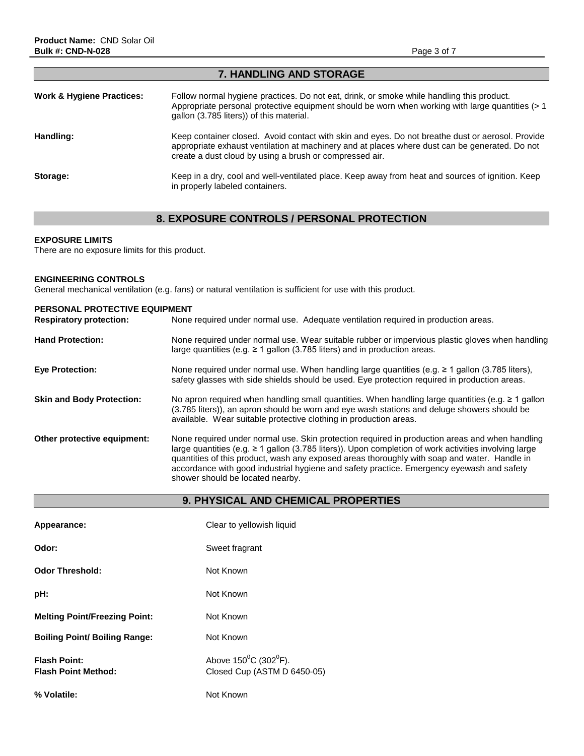| <i>I</i> . IIANDEING AND STORAGE     |                                                                                                                                                                                                                                                               |  |
|--------------------------------------|---------------------------------------------------------------------------------------------------------------------------------------------------------------------------------------------------------------------------------------------------------------|--|
| <b>Work &amp; Hygiene Practices:</b> | Follow normal hygiene practices. Do not eat, drink, or smoke while handling this product.<br>Appropriate personal protective equipment should be worn when working with large quantities $(> 1$<br>gallon (3.785 liters)) of this material.                   |  |
| Handling:                            | Keep container closed. Avoid contact with skin and eyes. Do not breathe dust or aerosol. Provide<br>appropriate exhaust ventilation at machinery and at places where dust can be generated. Do not<br>create a dust cloud by using a brush or compressed air. |  |
| Storage:                             | Keep in a dry, cool and well-ventilated place. Keep away from heat and sources of ignition. Keep<br>in properly labeled containers.                                                                                                                           |  |

**7. HANDLING AND STORAGE**

# **8. EXPOSURE CONTROLS / PERSONAL PROTECTION**

# **EXPOSURE LIMITS**

There are no exposure limits for this product.

# **ENGINEERING CONTROLS**

General mechanical ventilation (e.g. fans) or natural ventilation is sufficient for use with this product.

| <b>PERSONAL PROTECTIVE EQUIPMENT</b><br><b>Respiratory protection:</b> | None required under normal use. Adequate ventilation required in production areas.                                                                                                                                                                                                                                                                                                                                                            |
|------------------------------------------------------------------------|-----------------------------------------------------------------------------------------------------------------------------------------------------------------------------------------------------------------------------------------------------------------------------------------------------------------------------------------------------------------------------------------------------------------------------------------------|
| <b>Hand Protection:</b>                                                | None required under normal use. Wear suitable rubber or impervious plastic gloves when handling<br>large quantities (e.g. $\geq$ 1 gallon (3.785 liters) and in production areas.                                                                                                                                                                                                                                                             |
| <b>Eve Protection:</b>                                                 | None required under normal use. When handling large quantities (e.g. $\geq 1$ gallon (3.785 liters),<br>safety glasses with side shields should be used. Eye protection required in production areas.                                                                                                                                                                                                                                         |
| <b>Skin and Body Protection:</b>                                       | No apron required when handling small quantities. When handling large quantities (e.g. $\geq 1$ gallon<br>(3.785 liters)), an apron should be worn and eye wash stations and deluge showers should be<br>available. Wear suitable protective clothing in production areas.                                                                                                                                                                    |
| Other protective equipment:                                            | None required under normal use. Skin protection required in production areas and when handling<br>large quantities (e.g. $\geq 1$ gallon (3.785 liters)). Upon completion of work activities involving large<br>quantities of this product, wash any exposed areas thoroughly with soap and water. Handle in<br>accordance with good industrial hygiene and safety practice. Emergency eyewash and safety<br>shower should be located nearby. |

|                                                   | <b>9. PHYSICAL AND CHEMICAL PROPERTIES</b>                               |
|---------------------------------------------------|--------------------------------------------------------------------------|
| Appearance:                                       | Clear to yellowish liquid                                                |
| Odor:                                             | Sweet fragrant                                                           |
| <b>Odor Threshold:</b>                            | Not Known                                                                |
| pH:                                               | Not Known                                                                |
| <b>Melting Point/Freezing Point:</b>              | Not Known                                                                |
| <b>Boiling Point/ Boiling Range:</b>              | Not Known                                                                |
| <b>Flash Point:</b><br><b>Flash Point Method:</b> | Above $150^{\circ}$ C (302 $^{\circ}$ F).<br>Closed Cup (ASTM D 6450-05) |
| % Volatile:                                       | Not Known                                                                |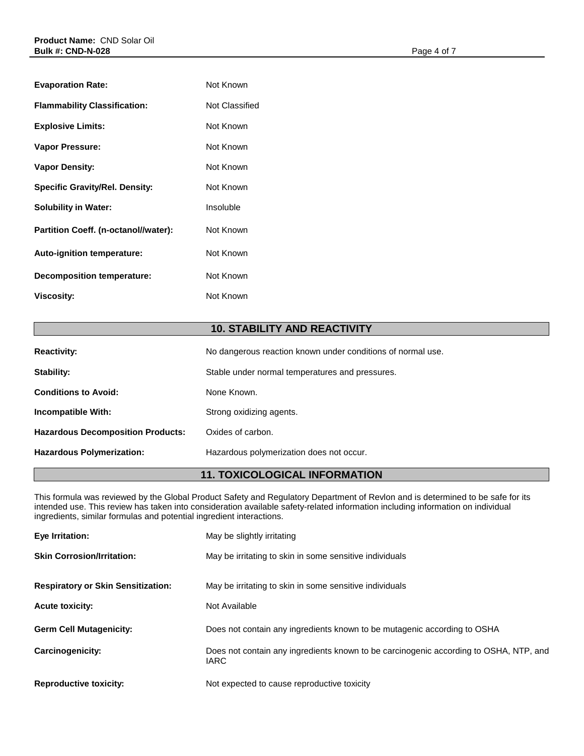| <b>Evaporation Rate:</b>              | Not Known      |
|---------------------------------------|----------------|
| <b>Flammability Classification:</b>   | Not Classified |
| <b>Explosive Limits:</b>              | Not Known      |
| <b>Vapor Pressure:</b>                | Not Known      |
| <b>Vapor Density:</b>                 | Not Known      |
| <b>Specific Gravity/Rel. Density:</b> | Not Known      |
| <b>Solubility in Water:</b>           | Insoluble      |
| Partition Coeff. (n-octanol//water):  | Not Known      |
| Auto-ignition temperature:            | Not Known      |
| Decomposition temperature:            | Not Known      |
| <b>Viscosity:</b>                     | Not Known      |
|                                       |                |

# **10. STABILITY AND REACTIVITY**

| <b>Reactivity:</b>                       | No dangerous reaction known under conditions of normal use. |
|------------------------------------------|-------------------------------------------------------------|
| Stability:                               | Stable under normal temperatures and pressures.             |
| <b>Conditions to Avoid:</b>              | None Known.                                                 |
| Incompatible With:                       | Strong oxidizing agents.                                    |
| <b>Hazardous Decomposition Products:</b> | Oxides of carbon.                                           |
| <b>Hazardous Polymerization:</b>         | Hazardous polymerization does not occur.                    |

# **11. TOXICOLOGICAL INFORMATION**

This formula was reviewed by the Global Product Safety and Regulatory Department of Revlon and is determined to be safe for its intended use. This review has taken into consideration available safety-related information including information on individual ingredients, similar formulas and potential ingredient interactions.

| Eye Irritation:                           | May be slightly irritating                                                                           |
|-------------------------------------------|------------------------------------------------------------------------------------------------------|
| <b>Skin Corrosion/Irritation:</b>         | May be irritating to skin in some sensitive individuals                                              |
| <b>Respiratory or Skin Sensitization:</b> | May be irritating to skin in some sensitive individuals                                              |
| <b>Acute toxicity:</b>                    | Not Available                                                                                        |
| <b>Germ Cell Mutagenicity:</b>            | Does not contain any ingredients known to be mutagenic according to OSHA                             |
| Carcinogenicity:                          | Does not contain any ingredients known to be carcinogenic according to OSHA, NTP, and<br><b>IARC</b> |
| <b>Reproductive toxicity:</b>             | Not expected to cause reproductive toxicity                                                          |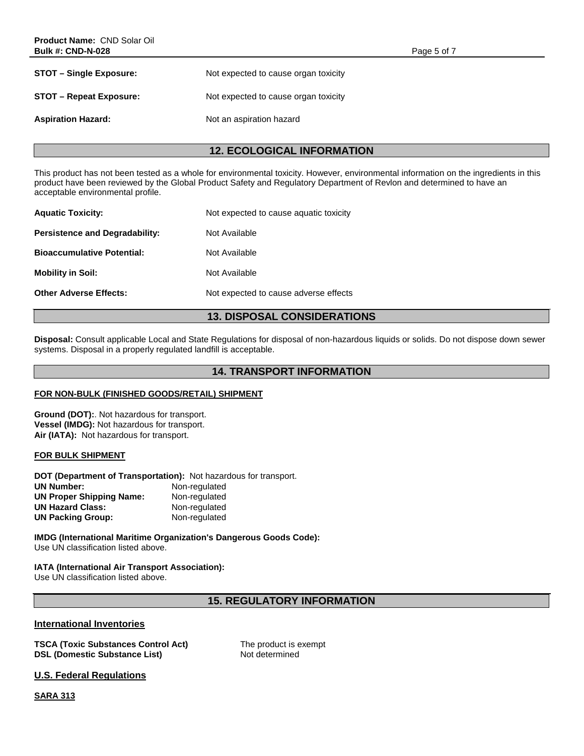| <b>STOT – Single Exposure:</b> | Not expected to cause organ toxicity |
|--------------------------------|--------------------------------------|
| <b>STOT – Repeat Exposure:</b> | Not expected to cause organ toxicity |
| <b>Aspiration Hazard:</b>      | Not an aspiration hazard             |

# **12. ECOLOGICAL INFORMATION**

This product has not been tested as a whole for environmental toxicity. However, environmental information on the ingredients in this product have been reviewed by the Global Product Safety and Regulatory Department of Revlon and determined to have an acceptable environmental profile.

| <b>Aquatic Toxicity:</b>              | Not expected to cause aquatic toxicity |
|---------------------------------------|----------------------------------------|
| <b>Persistence and Degradability:</b> | Not Available                          |
| <b>Bioaccumulative Potential:</b>     | Not Available                          |
| <b>Mobility in Soil:</b>              | Not Available                          |
| <b>Other Adverse Effects:</b>         | Not expected to cause adverse effects  |
|                                       |                                        |

# **13. DISPOSAL CONSIDERATIONS**

**Disposal:** Consult applicable Local and State Regulations for disposal of non-hazardous liquids or solids. Do not dispose down sewer systems. Disposal in a properly regulated landfill is acceptable.

# **14. TRANSPORT INFORMATION**

# **FOR NON-BULK (FINISHED GOODS/RETAIL) SHIPMENT**

**Ground (DOT):**. Not hazardous for transport. **Vessel (IMDG):** Not hazardous for transport. **Air (IATA):** Not hazardous for transport.

# **FOR BULK SHIPMENT**

**DOT (Department of Transportation):** Not hazardous for transport. **UN Number: Non-regulated<br>
UN Proper Shipping Name:** Non-regulated **UN Proper Shipping Name: UN Hazard Class:** Non-regulated **UN Packing Group:** Non-regulated

**IMDG (International Maritime Organization's Dangerous Goods Code):** Use UN classification listed above.

# **IATA (International Air Transport Association):**

Use UN classification listed above.

# **15. REGULATORY INFORMATION**

# **International Inventories**

**TSCA (Toxic Substances Control Act)** The product is exempt **DSL (Domestic Substance List)** Not determined

**U.S. Federal Regulations** 

**SARA 313**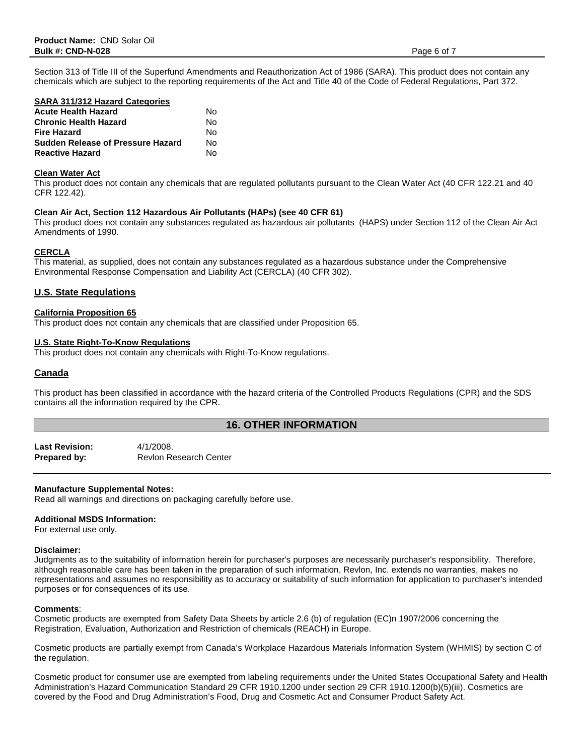Section 313 of Title III of the Superfund Amendments and Reauthorization Act of 1986 (SARA). This product does not contain any chemicals which are subject to the reporting requirements of the Act and Title 40 of the Code of Federal Regulations, Part 372.

### **SARA 311/312 Hazard Categories**

| <b>Acute Health Hazard</b>               | N٥ |
|------------------------------------------|----|
| <b>Chronic Health Hazard</b>             | N٥ |
| <b>Fire Hazard</b>                       | N٥ |
| <b>Sudden Release of Pressure Hazard</b> | N٥ |
| <b>Reactive Hazard</b>                   | N٥ |

## **Clean Water Act**

This product does not contain any chemicals that are regulated pollutants pursuant to the Clean Water Act (40 CFR 122.21 and 40 CFR 122.42).

## **Clean Air Act, Section 112 Hazardous Air Pollutants (HAPs) (see 40 CFR 61)**

This product does not contain any substances regulated as hazardous air pollutants (HAPS) under Section 112 of the Clean Air Act Amendments of 1990.

## **CERCLA**

This material, as supplied, does not contain any substances regulated as a hazardous substance under the Comprehensive Environmental Response Compensation and Liability Act (CERCLA) (40 CFR 302).

## **U.S. State Regulations**

### **California Proposition 65**

This product does not contain any chemicals that are classified under Proposition 65.

### **U.S. State Right-To-Know Regulations**

This product does not contain any chemicals with Right-To-Know regulations.

## **Canada**

This product has been classified in accordance with the hazard criteria of the Controlled Products Regulations (CPR) and the SDS contains all the information required by the CPR.

# **16. OTHER INFORMATION**

**Last Revision:** 4/1/2008. **Prepared by:** Revlon Research Center

## **Manufacture Supplemental Notes:**

Read all warnings and directions on packaging carefully before use.

### **Additional MSDS Information:**

For external use only.

## **Disclaimer:**

Judgments as to the suitability of information herein for purchaser's purposes are necessarily purchaser's responsibility. Therefore, although reasonable care has been taken in the preparation of such information, Revlon, Inc. extends no warranties, makes no representations and assumes no responsibility as to accuracy or suitability of such information for application to purchaser's intended purposes or for consequences of its use.

### **Comments**:

Cosmetic products are exempted from Safety Data Sheets by article 2.6 (b) of regulation (EC)n 1907/2006 concerning the Registration, Evaluation, Authorization and Restriction of chemicals (REACH) in Europe.

Cosmetic products are partially exempt from Canada's Workplace Hazardous Materials Information System (WHMIS) by section C of the regulation.

Cosmetic product for consumer use are exempted from labeling requirements under the United States Occupational Safety and Health Administration's Hazard Communication Standard 29 CFR 1910.1200 under section 29 CFR 1910.1200(b)(5)(iii). Cosmetics are covered by the Food and Drug Administration's Food, Drug and Cosmetic Act and Consumer Product Safety Act.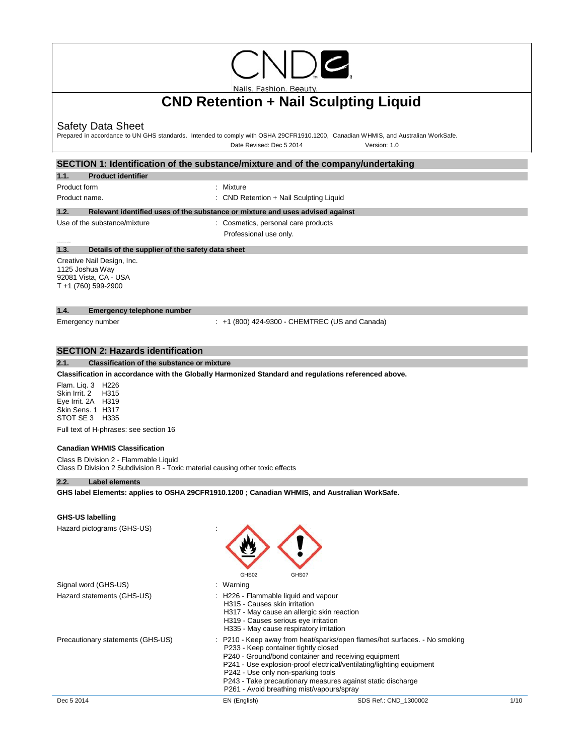

Nails. Fashion. Beauty.

# **CND Retention + Nail Sculpting Liquid**

# Safety Data Sheet

Prepared in accordance to UN GHS standards. Intended to comply with OSHA 29CFR1910.1200, Canadian WHMIS, and Australian WorkSafe. Date Revised: Dec 5 2014 Version: 1.0

# **SECTION 1: Identification of the substance/mixture and of the company/undertaking**

**1.1. Product identifier**

Product form : Nixture : Mixture

Product name. The contract of the contract of the CND Retention + Nail Sculpting Liquid

### **1.2. Relevant identified uses of the substance or mixture and uses advised against**

Use of the substance/mixture : Cosmetics, personal care products Professional use only.

## **1.3. Details of the supplier of the safety data sheet**

Creative Nail Design, Inc. 1125 Joshua Way 92081 Vista, CA - USA T +1 (760) 599-2900

### **1.4. Emergency telephone number**

Emergency number : +1 (800) 424-9300 - CHEMTREC (US and Canada)

## **SECTION 2: Hazards identification**

#### **2.1. Classification of the substance or mixture**

**Classification in accordance with the Globally Harmonized Standard and regulations referenced above.**

Flam. Liq. 3 H226 Skin Irrit. 2 H315 Eye Irrit. 2A H319 Skin Sens. 1 H317 STOT SE 3 H335

Full text of H-phrases: see section 16

### **Canadian WHMIS Classification**

Class B Division 2 - Flammable Liquid Class D Division 2 Subdivision B - Toxic material causing other toxic effects

### **2.2. Label elements**

**GHS label Elements: applies to OSHA 29CFR1910.1200 ; Canadian WHMIS, and Australian WorkSafe.**

#### **GHS-US labelling**

| Hazard pictograms (GHS-US)        | GHS02                                                                                                         | GHS07                                                                                                                                                                                                                                                                                                                                                                                                |      |
|-----------------------------------|---------------------------------------------------------------------------------------------------------------|------------------------------------------------------------------------------------------------------------------------------------------------------------------------------------------------------------------------------------------------------------------------------------------------------------------------------------------------------------------------------------------------------|------|
| Signal word (GHS-US)              | : Warning                                                                                                     |                                                                                                                                                                                                                                                                                                                                                                                                      |      |
| Hazard statements (GHS-US)        | : H226 - Flammable liquid and vapour<br>H315 - Causes skin irritation<br>H319 - Causes serious eye irritation | H317 - May cause an allergic skin reaction<br>H335 - May cause respiratory irritation                                                                                                                                                                                                                                                                                                                |      |
| Precautionary statements (GHS-US) |                                                                                                               | : P210 - Keep away from heat/sparks/open flames/hot surfaces. - No smoking<br>P233 - Keep container tightly closed<br>P240 - Ground/bond container and receiving equipment<br>P241 - Use explosion-proof electrical/ventilating/lighting equipment<br>P242 - Use only non-sparking tools<br>P243 - Take precautionary measures against static discharge<br>P261 - Avoid breathing mist/vapours/spray |      |
| Dec 5 2014                        | EN (English)                                                                                                  | SDS Ref.: CND 1300002                                                                                                                                                                                                                                                                                                                                                                                | 1/10 |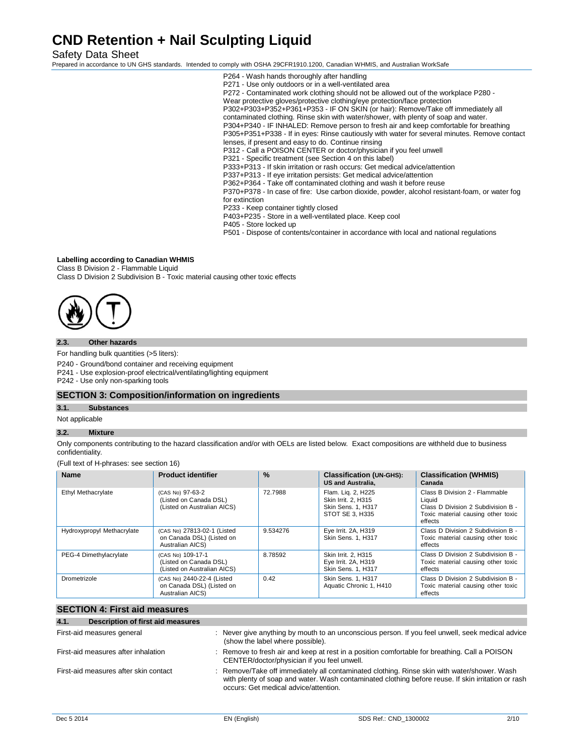Safety Data Sheet

Prepared in accordance to UN GHS standards. Intended to comply with OSHA 29CFR1910.1200, Canadian WHMIS, and Australian WorkSafe

- P264 Wash hands thoroughly after handling P271 - Use only outdoors or in a well-ventilated area P272 - Contaminated work clothing should not be allowed out of the workplace P280 - Wear protective gloves/protective clothing/eye protection/face protection P302+P303+P352+P361+P353 - IF ON SKIN (or hair): Remove/Take off immediately all contaminated clothing. Rinse skin with water/shower, with plenty of soap and water. P304+P340 - IF INHALED: Remove person to fresh air and keep comfortable for breathing P305+P351+P338 - If in eyes: Rinse cautiously with water for several minutes. Remove contact lenses, if present and easy to do. Continue rinsing P312 - Call a POISON CENTER or doctor/physician if you feel unwell P321 - Specific treatment (see Section 4 on this label) P333+P313 - If skin irritation or rash occurs: Get medical advice/attention P337+P313 - If eye irritation persists: Get medical advice/attention P362+P364 - Take off contaminated clothing and wash it before reuse P370+P378 - In case of fire: Use carbon dioxide, powder, alcohol resistant-foam, or water fog for extinction P233 - Keep container tightly closed P403+P235 - Store in a well-ventilated place. Keep cool P405 - Store locked up
- P501 Dispose of contents/container in accordance with local and national regulations

### **Labelling according to Canadian WHMIS**

Class B Division 2 - Flammable Liquid

Class D Division 2 Subdivision B - Toxic material causing other toxic effects



### **2.3. Other hazards**

For handling bulk quantities (>5 liters):

P240 - Ground/bond container and receiving equipment

P241 - Use explosion-proof electrical/ventilating/lighting equipment

P242 - Use only non-sparking tools

### **SECTION 3: Composition/information on ingredients**

**3.1. Substances**

Not applicable

# **3.2. Mixture**

Only components contributing to the hazard classification and/or with OELs are listed below. Exact compositions are withheld due to business confidentiality.

(Full text of H-phrases: see section 16)

| <b>Name</b>                | <b>Product identifier</b>                                                    | $\frac{9}{6}$ | <b>Classification (UN-GHS):</b><br><b>US and Australia,</b>                               | <b>Classification (WHMIS)</b><br>Canada                                                                                         |
|----------------------------|------------------------------------------------------------------------------|---------------|-------------------------------------------------------------------------------------------|---------------------------------------------------------------------------------------------------------------------------------|
| Ethyl Methacrylate         | (CAS No) 97-63-2<br>(Listed on Canada DSL)<br>(Listed on Australian AICS)    | 72.7988       | Flam. Lig. 2, H225<br>Skin Irrit. 2. H315<br><b>Skin Sens. 1. H317</b><br>STOT SE 3. H335 | Class B Division 2 - Flammable<br>Liauid<br>Class D Division 2 Subdivision B -<br>Toxic material causing other toxic<br>effects |
| Hydroxypropyl Methacrylate | (CAS No) 27813-02-1 (Listed<br>on Canada DSL) (Listed on<br>Australian AICS) | 9.534276      | Eye Irrit. 2A, H319<br>Skin Sens. 1. H317                                                 | Class D Division 2 Subdivision B -<br>Toxic material causing other toxic<br>effects                                             |
| PEG-4 Dimethylacrylate     | (CAS No) 109-17-1<br>(Listed on Canada DSL)<br>(Listed on Australian AICS)   | 8.78592       | Skin Irrit. 2. H315<br>Eye Irrit. 2A, H319<br>Skin Sens. 1, H317                          | Class D Division 2 Subdivision B -<br>Toxic material causing other toxic<br>effects                                             |
| Drometrizole               | (CAS No) 2440-22-4 (Listed<br>on Canada DSL) (Listed on<br>Australian AICS)  | 0.42          | Skin Sens. 1, H317<br>Aquatic Chronic 1, H410                                             | Class D Division 2 Subdivision B -<br>Toxic material causing other toxic<br>effects                                             |

## **SECTION 4: First aid measures**

| Description of first aid measures<br>4.1. |                                                                                                                                                                                                                                            |
|-------------------------------------------|--------------------------------------------------------------------------------------------------------------------------------------------------------------------------------------------------------------------------------------------|
| First-aid measures general                | : Never give anything by mouth to an unconscious person. If you feel unwell, seek medical advice<br>(show the label where possible).                                                                                                       |
| First-aid measures after inhalation       | : Remove to fresh air and keep at rest in a position comfortable for breathing. Call a POISON<br>CENTER/doctor/physician if you feel unwell.                                                                                               |
| First-aid measures after skin contact     | : Remove/Take off immediately all contaminated clothing. Rinse skin with water/shower. Wash<br>with plenty of soap and water. Wash contaminated clothing before reuse. If skin irritation or rash<br>occurs: Get medical advice/attention. |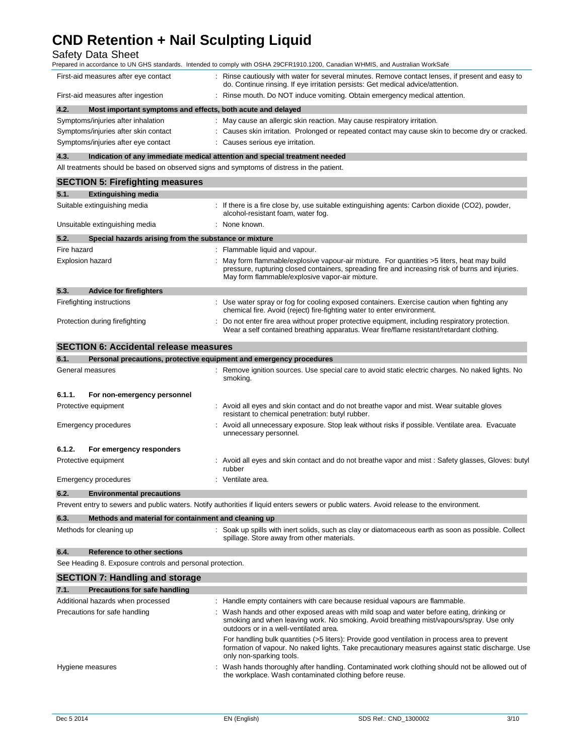# Safety Data Sheet

| Prepared in accordance to UN GHS standards. Intended to comply with OSHA 29CFR1910.1200, Canadian WHMIS, and Australian WorkSafe |                                                                                                                                                                                     |  |  |
|----------------------------------------------------------------------------------------------------------------------------------|-------------------------------------------------------------------------------------------------------------------------------------------------------------------------------------|--|--|
| First-aid measures after eye contact                                                                                             | : Rinse cautiously with water for several minutes. Remove contact lenses, if present and easy to<br>do. Continue rinsing. If eye irritation persists: Get medical advice/attention. |  |  |
| First-aid measures after ingestion                                                                                               | : Rinse mouth. Do NOT induce vomiting. Obtain emergency medical attention.                                                                                                          |  |  |
| Most important symptoms and effects, both acute and delayed<br>4.2.                                                              |                                                                                                                                                                                     |  |  |
| Symptoms/injuries after inhalation                                                                                               | : May cause an allergic skin reaction. May cause respiratory irritation.                                                                                                            |  |  |
| Symptoms/injuries after skin contact                                                                                             | : Causes skin irritation. Prolonged or repeated contact may cause skin to become dry or cracked.                                                                                    |  |  |
| Symptoms/injuries after eye contact                                                                                              | : Causes serious eye irritation.                                                                                                                                                    |  |  |

**4.3. Indication of any immediate medical attention and special treatment needed** 

All treatments should be based on observed signs and symptoms of distress in the patient.

|                              | <b>SECTION 5: Firefighting measures</b>                             |                                                                                                                                                                                                                                                  |  |
|------------------------------|---------------------------------------------------------------------|--------------------------------------------------------------------------------------------------------------------------------------------------------------------------------------------------------------------------------------------------|--|
| 5.1.                         | <b>Extinguishing media</b>                                          |                                                                                                                                                                                                                                                  |  |
| Suitable extinguishing media |                                                                     | : If there is a fire close by, use suitable extinguishing agents: Carbon dioxide (CO2), powder,<br>alcohol-resistant foam, water fog.                                                                                                            |  |
|                              | Unsuitable extinguishing media                                      | : None known.                                                                                                                                                                                                                                    |  |
| 5.2.                         | Special hazards arising from the substance or mixture               |                                                                                                                                                                                                                                                  |  |
| Fire hazard                  |                                                                     | : Flammable liquid and vapour.                                                                                                                                                                                                                   |  |
|                              | <b>Explosion hazard</b>                                             | May form flammable/explosive vapour-air mixture. For quantities >5 liters, heat may build<br>pressure, rupturing closed containers, spreading fire and increasing risk of burns and injuries.<br>May form flammable/explosive vapor-air mixture. |  |
| 5.3.                         | <b>Advice for firefighters</b>                                      |                                                                                                                                                                                                                                                  |  |
|                              | Firefighting instructions                                           | : Use water spray or fog for cooling exposed containers. Exercise caution when fighting any<br>chemical fire. Avoid (reject) fire-fighting water to enter environment.                                                                           |  |
|                              | Protection during firefighting                                      | Do not enter fire area without proper protective equipment, including respiratory protection.<br>Wear a self contained breathing apparatus. Wear fire/flame resistant/retardant clothing.                                                        |  |
|                              | <b>SECTION 6: Accidental release measures</b>                       |                                                                                                                                                                                                                                                  |  |
| 6.1.                         | Personal precautions, protective equipment and emergency procedures |                                                                                                                                                                                                                                                  |  |
|                              | General measures                                                    | : Remove ignition sources. Use special care to avoid static electric charges. No naked lights. No<br>smoking.                                                                                                                                    |  |
| 6.1.1.                       | For non-emergency personnel                                         |                                                                                                                                                                                                                                                  |  |
|                              | Protective equipment                                                | : Avoid all eyes and skin contact and do not breathe vapor and mist. Wear suitable gloves<br>resistant to chemical penetration: butyl rubber.                                                                                                    |  |
|                              | <b>Emergency procedures</b>                                         | Avoid all unnecessary exposure. Stop leak without risks if possible. Ventilate area. Evacuate<br>unnecessary personnel.                                                                                                                          |  |
| 6.1.2.                       | For emergency responders                                            |                                                                                                                                                                                                                                                  |  |
|                              | Protective equipment                                                | Avoid all eyes and skin contact and do not breathe vapor and mist: Safety glasses, Gloves: butyl<br>rubber                                                                                                                                       |  |
| <b>Emergency procedures</b>  |                                                                     | : Ventilate area.                                                                                                                                                                                                                                |  |
| 6.2.                         | <b>Environmental precautions</b>                                    |                                                                                                                                                                                                                                                  |  |
|                              |                                                                     | Prevent entry to sewers and public waters. Notify authorities if liquid enters sewers or public waters. Avoid release to the environment.                                                                                                        |  |
| 6.3.                         | Methods and material for containment and cleaning up                |                                                                                                                                                                                                                                                  |  |
|                              | Methods for cleaning up                                             | : Soak up spills with inert solids, such as clay or diatomaceous earth as soon as possible. Collect<br>spillage. Store away from other materials.                                                                                                |  |
| 6.4.                         | <b>Reference to other sections</b>                                  |                                                                                                                                                                                                                                                  |  |
|                              | See Heading 8. Exposure controls and personal protection.           |                                                                                                                                                                                                                                                  |  |
|                              | <b>SECTION 7: Handling and storage</b>                              |                                                                                                                                                                                                                                                  |  |
| 7.1.                         | Precautions for safe handling                                       |                                                                                                                                                                                                                                                  |  |
|                              | Additional hazards when processed                                   | : Handle empty containers with care because residual vapours are flammable.                                                                                                                                                                      |  |
|                              | Precautions for safe handling                                       | Wash hands and other exposed areas with mild soap and water before eating, drinking or<br>smoking and when leaving work. No smoking. Avoid breathing mist/vapours/spray. Use only<br>outdoors or in a well-ventilated area.                      |  |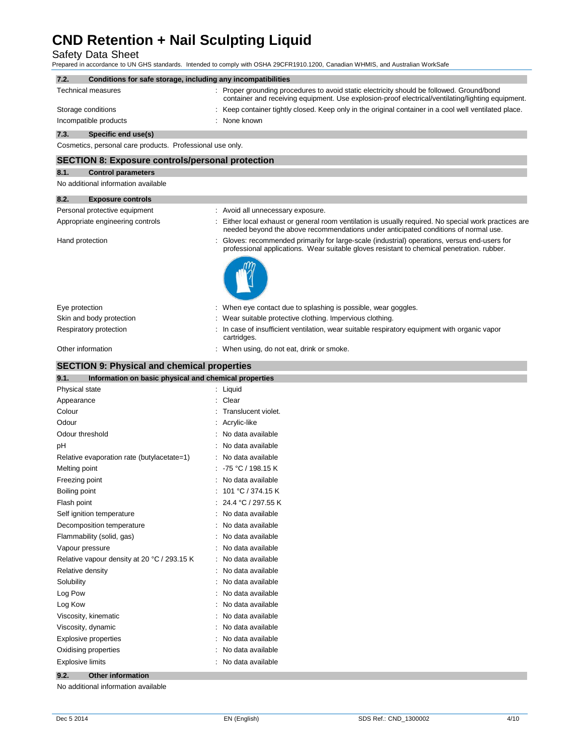Safety Data Sheet Prepared in accordance to UN GHS standards. Intended to comply with OSHA 29CFR1910.1200, Canadian WHMIS, and Australian WorkSafe

| 7.2.<br>Conditions for safe storage, including any incompatibilities |                                                                                                                                                                                                |
|----------------------------------------------------------------------|------------------------------------------------------------------------------------------------------------------------------------------------------------------------------------------------|
| <b>Technical measures</b>                                            | : Proper grounding procedures to avoid static electricity should be followed. Ground/bond<br>container and receiving equipment. Use explosion-proof electrical/ventilating/lighting equipment. |
| Storage conditions                                                   | Keep container tightly closed. Keep only in the original container in a cool well ventilated place.                                                                                            |
| Incompatible products                                                | None known                                                                                                                                                                                     |
| 7.3.<br>Specific end use(s)                                          |                                                                                                                                                                                                |
| Cosmetics, personal care products. Professional use only.            |                                                                                                                                                                                                |
| <b>SECTION 8: Exposure controls/personal protection</b>              |                                                                                                                                                                                                |
| 8.1.<br><b>Control parameters</b>                                    |                                                                                                                                                                                                |
| No additional information available                                  |                                                                                                                                                                                                |
| 8.2.<br><b>Exposure controls</b>                                     |                                                                                                                                                                                                |
| Personal protective equipment                                        | Avoid all unnecessary exposure.                                                                                                                                                                |
| Appropriate engineering controls                                     | Either local exhaust or general room ventilation is usually required. No special work practices are<br>needed beyond the above recommendations under anticipated conditions of normal use.     |
| Hand protection                                                      | Gloves: recommended primarily for large-scale (industrial) operations, versus end-users for<br>professional applications. Wear suitable gloves resistant to chemical penetration. rubber.      |
|                                                                      |                                                                                                                                                                                                |
| Eye protection                                                       | : When eye contact due to splashing is possible, wear goggles.                                                                                                                                 |
| Skin and body protection                                             | Wear suitable protective clothing. Impervious clothing.                                                                                                                                        |
| Respiratory protection                                               | In case of insufficient ventilation, wear suitable respiratory equipment with organic vapor<br>cartridges.                                                                                     |
| Other information                                                    | : When using, do not eat, drink or smoke.                                                                                                                                                      |
| <b>SECTION 9: Physical and chemical properties</b>                   |                                                                                                                                                                                                |
| 9.1.<br>Information on basic physical and chemical properties        |                                                                                                                                                                                                |
| <b>Physical state</b>                                                | Liquid                                                                                                                                                                                         |
| Appearance                                                           | Clear                                                                                                                                                                                          |
| Colour                                                               | Translucent violet.                                                                                                                                                                            |
| Odour                                                                | Acrylic-like                                                                                                                                                                                   |
| Odour threshold                                                      | No data available                                                                                                                                                                              |
| pH                                                                   | No data available                                                                                                                                                                              |
| Relative evaporation rate (butylacetate=1)                           | No data available                                                                                                                                                                              |
| Melting point                                                        | -75 °C / 198.15 K                                                                                                                                                                              |
| Freezing point                                                       | No data available                                                                                                                                                                              |
| Boiling point                                                        | 101 °C / 374.15 K                                                                                                                                                                              |
| Flash point                                                          | 24.4 °C / 297.55 K                                                                                                                                                                             |
| Self ignition temperature                                            | No data available                                                                                                                                                                              |
| Decomposition temperature                                            | No data available                                                                                                                                                                              |
| Flammability (solid, gas)                                            | No data available                                                                                                                                                                              |
| Vapour pressure                                                      | No data available                                                                                                                                                                              |
| Relative vapour density at 20 °C / 293.15 K                          | No data available                                                                                                                                                                              |
| Relative density                                                     | No data available                                                                                                                                                                              |
| Solubility                                                           | No data available                                                                                                                                                                              |
| Log Pow                                                              | No data available                                                                                                                                                                              |
| Log Kow                                                              | No data available                                                                                                                                                                              |
| Viscosity, kinematic                                                 | No data available                                                                                                                                                                              |
| Viscosity, dynamic                                                   | No data available                                                                                                                                                                              |
| <b>Explosive properties</b>                                          | No data available                                                                                                                                                                              |
| Oxidising properties                                                 | No data available                                                                                                                                                                              |
| <b>Explosive limits</b>                                              | No data available                                                                                                                                                                              |

**9.2. Other information** 

No additional information available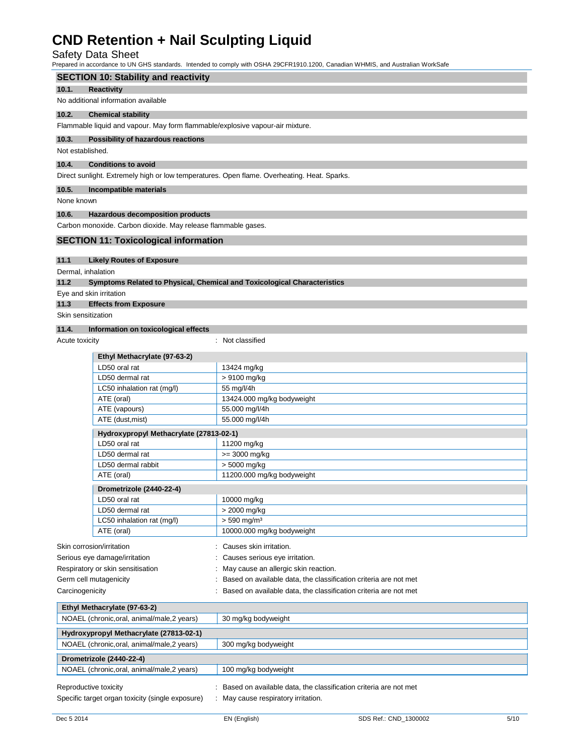# Safety Data Sheet

Prepared in accordance to UN GHS standards. Intended to comply with OSHA 29CFR1910.1200, Canadian WHMIS, and Australian WorkSafe

# **SECTION 10: Stability and reactivity 10.1. Reactivity**  No additional information available **10.2. Chemical stability**  Flammable liquid and vapour. May form flammable/explosive vapour-air mixture. **10.3. Possibility of hazardous reactions** Not established. **10.4. Conditions to avoid**  Direct sunlight. Extremely high or low temperatures. Open flame. Overheating. Heat. Sparks. **10.5. Incompatible materials**  None known **10.6. Hazardous decomposition products**  Carbon monoxide. Carbon dioxide. May release flammable gases. **SECTION 11: Toxicological information 11.1 Likely Routes of Exposure**

Dermal, inhalation

**11.2 Symptoms Related to Physical, Chemical and Toxicological Characteristics** 

Eye and skin irritation

### **11.3 Effects from Exposure**

Skin sensitization

### **11.4. Information on toxicological effects**

Acute toxicity **in the case of the Case of the Case of the Case of the Case of the Case of the Case of the Case of the Case of the Case of the Case of the Case of the Case of the Case of the Case of the Case of the Case of** 

| 13424 mg/kg                                                        |
|--------------------------------------------------------------------|
| > 9100 mg/kg                                                       |
| 55 mg/l/4h                                                         |
| 13424.000 mg/kg bodyweight                                         |
| 55.000 mg/l/4h                                                     |
| 55.000 mg/l/4h                                                     |
| Hydroxypropyl Methacrylate (27813-02-1)                            |
| 11200 mg/kg                                                        |
| >= 3000 mg/kg                                                      |
| > 5000 mg/kg                                                       |
| 11200.000 mg/kg bodyweight                                         |
|                                                                    |
| 10000 mg/kg                                                        |
| > 2000 mg/kg                                                       |
| $> 590$ mg/m <sup>3</sup>                                          |
| 10000.000 mg/kg bodyweight                                         |
| Causes skin irritation.                                            |
| Causes serious eye irritation.                                     |
| May cause an allergic skin reaction.                               |
| Based on available data, the classification criteria are not met   |
| Based on available data, the classification criteria are not met   |
|                                                                    |
|                                                                    |
| 30 mg/kg bodyweight                                                |
|                                                                    |
| 300 mg/kg bodyweight                                               |
|                                                                    |
| 100 mg/kg bodyweight                                               |
| : Based on available data, the classification criteria are not met |
|                                                                    |

Specific target organ toxicity (single exposure) : May cause respiratory irritation.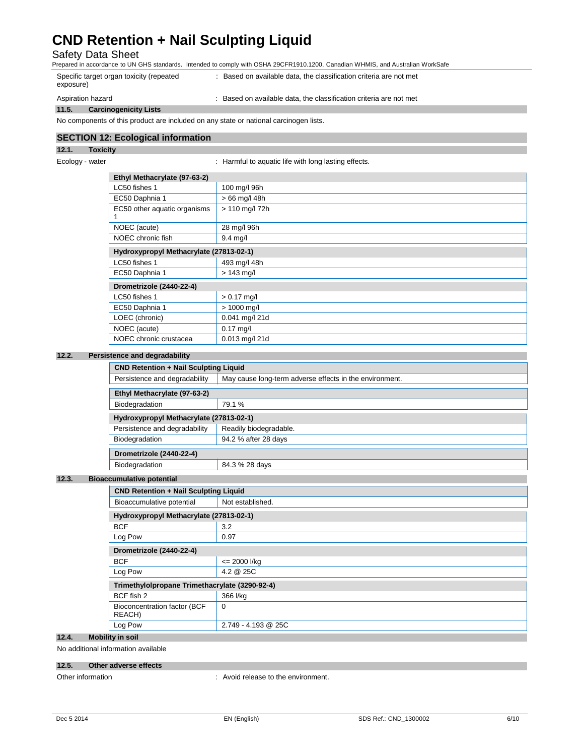Safety Data Sheet

Prepared in accordance to UN GHS standards. Intended to comply with OSHA 29CFR1910.1200, Canadian WHMIS, and Australian WorkSafe

| Specific target organ toxicity (repeated<br>exposure) | : Based on available data, the classification criteria are not met |
|-------------------------------------------------------|--------------------------------------------------------------------|
| Aspiration hazard                                     | Based on available data, the classification criteria are not met   |

**11.5. Carcinogenicity Lists**  No components of this product are included on any state or national carcinogen lists.

# **SECTION 12: Ecological information**

# **12.1. Toxicity**

Ecology - water **interpretent in the set of the set of the set of the set of the set of the set of the set of the set of the set of the set of the set of the set of the set of the set of the set of the set of the set of th** 

| Ethyl Methacrylate (97-63-2) |                                         |  |  |
|------------------------------|-----------------------------------------|--|--|
| LC50 fishes 1                | 100 mg/l 96h                            |  |  |
| EC50 Daphnia 1               | $>66$ mg/l 48h                          |  |  |
| EC50 other aquatic organisms | > 110 mg/l 72h                          |  |  |
| NOEC (acute)                 | 28 mg/l 96h                             |  |  |
| NOEC chronic fish            | 9.4 mg/l                                |  |  |
|                              | Hydroxypropyl Methacrylate (27813-02-1) |  |  |
| LC50 fishes 1                | 493 mg/l 48h                            |  |  |
| EC50 Daphnia 1               | $> 143$ mg/l                            |  |  |
| Drometrizole (2440-22-4)     |                                         |  |  |
| LC50 fishes 1                | $> 0.17$ mg/l                           |  |  |
| EC50 Daphnia 1               | $> 1000$ mg/l                           |  |  |
| LOEC (chronic)               | 0.041 mg/l 21d                          |  |  |
| NOEC (acute)                 | $0.17$ mg/l                             |  |  |
| NOEC chronic crustacea       | 0.013 mg/l 21d                          |  |  |

## **12.2. Persistence and degradability**

| <b>CND Retention + Nail Sculpting Liquid</b> |                                                         |  |  |
|----------------------------------------------|---------------------------------------------------------|--|--|
| Persistence and degradability                | May cause long-term adverse effects in the environment. |  |  |
| Ethyl Methacrylate (97-63-2)                 |                                                         |  |  |
| Biodegradation                               | 79.1%                                                   |  |  |
| Hydroxypropyl Methacrylate (27813-02-1)      |                                                         |  |  |
| Persistence and degradability                | Readily biodegradable.                                  |  |  |
| Biodegradation                               | 94.2 % after 28 days                                    |  |  |
| Drometrizole (2440-22-4)                     |                                                         |  |  |
| Biodegradation                               | 84.3 % 28 days                                          |  |  |

## **12.3. Bioac**

| ccumulative potential                          |                                         |  |  |
|------------------------------------------------|-----------------------------------------|--|--|
| <b>CND Retention + Nail Sculpting Liquid</b>   |                                         |  |  |
| Bioaccumulative potential                      | Not established.                        |  |  |
|                                                | Hydroxypropyl Methacrylate (27813-02-1) |  |  |
| <b>BCF</b>                                     | 3.2                                     |  |  |
| Log Pow                                        | 0.97                                    |  |  |
| Drometrizole (2440-22-4)                       |                                         |  |  |
| <b>BCF</b>                                     | $= 2000$ I/kg                           |  |  |
| Log Pow                                        | 4.2 @ 25C                               |  |  |
| Trimethylolpropane Trimethacrylate (3290-92-4) |                                         |  |  |
| BCF fish 2                                     | 366 l/kg                                |  |  |
| Bioconcentration factor (BCF<br>REACH)         | $\Omega$                                |  |  |
| Log Pow                                        | 2.749 - 4.193 @ 25C                     |  |  |

### **12.4. Mobility in soil**

No additional information available

### **12.5. Other adverse effects**

Other information  $\cdot$  Avoid release to the environment.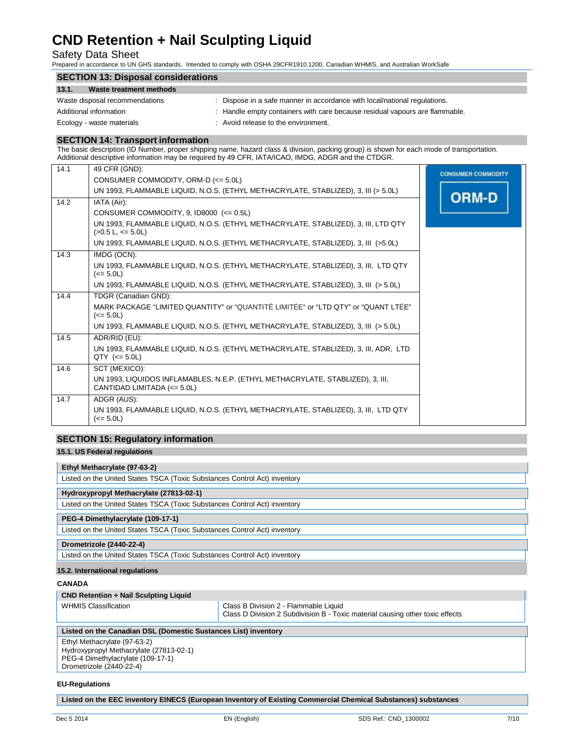# Safety Data Sheet

Prepared in accordance to UN GHS standards. Intended to comply with OSHA 29CFR1910.1200, Canadian WHMIS, and Australian WorkSafe

| <b>SECTION 13: Disposal considerations</b> |                                                                             |  |  |
|--------------------------------------------|-----------------------------------------------------------------------------|--|--|
| 13.1.<br>Waste treatment methods           |                                                                             |  |  |
| Waste disposal recommendations             | : Dispose in a safe manner in accordance with local/national regulations.   |  |  |
| Additional information                     | : Handle empty containers with care because residual vapours are flammable. |  |  |
| Ecology - waste materials                  | : Avoid release to the environment.                                         |  |  |

### **SECTION 14: Transport information**

The basic description (ID Number, proper shipping name, hazard class & division, packing group) is shown for each mode of transportation. Additional descriptive information may be required by 49 CFR, IATA/ICAO, IMDG, ADGR and the CTDGR.

| 14.1 | 49 CFR (GND):                                                                                                 | <b>CONSUMER COMMODITY</b> |
|------|---------------------------------------------------------------------------------------------------------------|---------------------------|
|      | CONSUMER COMMODITY, ORM-D $\left( \leq 5.0 \right)$                                                           |                           |
|      | UN 1993, FLAMMABLE LIQUID, N.O.S. (ETHYL METHACRYLATE, STABLIZED), 3, III (> 5.0L)                            | <b>ORM-D</b>              |
| 14.2 | IATA (Air):                                                                                                   |                           |
|      | CONSUMER COMMODITY, 9, ID8000 $\left(<=0.5\right)$                                                            |                           |
|      | UN 1993, FLAMMABLE LIQUID, N.O.S. (ETHYL METHACRYLATE, STABLIZED), 3, III, LTD QTY<br>$(>0.5$ L, $<= 5.0$ L)  |                           |
|      | UN 1993, FLAMMABLE LIQUID, N.O.S. (ETHYL METHACRYLATE, STABLIZED), 3, III (>5.0L)                             |                           |
| 14.3 | IMDG (OCN):                                                                                                   |                           |
|      | UN 1993, FLAMMABLE LIQUID, N.O.S. (ETHYL METHACRYLATE, STABLIZED), 3, III, LTD QTY<br>$(<= 5.0L)$             |                           |
|      | UN 1993, FLAMMABLE LIQUID, N.O.S. (ETHYL METHACRYLATE, STABLIZED), 3, III (> 5.0L)                            |                           |
| 14.4 | TDGR (Canadian GND):                                                                                          |                           |
|      | MARK PACKAGE "LIMITED QUANTITY" or "QUANTITÉ LIMITÉE" or "LTD QTY" or "QUANT LTÉE"<br>$(<= 5.0L)$             |                           |
|      | UN 1993, FLAMMABLE LIQUID, N.O.S. (ETHYL METHACRYLATE, STABLIZED), 3, III (> 5.0L)                            |                           |
| 14.5 | ADR/RID (EU):                                                                                                 |                           |
|      | UN 1993, FLAMMABLE LIQUID, N.O.S. (ETHYL METHACRYLATE, STABLIZED), 3, III, ADR, LTD<br>$QTY$ (<= 5.0L)        |                           |
| 14.6 | SCT (MEXICO):                                                                                                 |                           |
|      | UN 1993, LIQUIDOS INFLAMABLES, N.E.P. (ETHYL METHACRYLATE, STABLIZED), 3, III,<br>CANTIDAD LIMITADA (<= 5.0L) |                           |
| 14.7 | ADGR (AUS):                                                                                                   |                           |
|      | UN 1993, FLAMMABLE LIQUID, N.O.S. (ETHYL METHACRYLATE, STABLIZED), 3, III, LTD QTY<br>$(<= 5.0 L)$            |                           |

# **SECTION 15: Regulatory information**

# **15.1. US Federal regulations**

| Ethyl Methacrylate (97-63-2)                                              |  |
|---------------------------------------------------------------------------|--|
| Listed on the United States TSCA (Toxic Substances Control Act) inventory |  |
| Hydroxypropyl Methacrylate (27813-02-1)                                   |  |
| Listed on the United States TSCA (Toxic Substances Control Act) inventory |  |
| PEG-4 Dimethylacrylate (109-17-1)                                         |  |
| Listed on the United States TSCA (Toxic Substances Control Act) inventory |  |
| Drometrizole (2440-22-4)                                                  |  |
| Listed on the United States TSCA (Toxic Substances Control Act) inventory |  |

# **15.2. International regulations**

### **CANADA**

| <b>CND Retention + Nail Sculpting Liquid</b>                                          |                                                                                                                        |  |  |
|---------------------------------------------------------------------------------------|------------------------------------------------------------------------------------------------------------------------|--|--|
| <b>WHMIS Classification</b>                                                           | Class B Division 2 - Flammable Liquid<br>Class D Division 2 Subdivision B - Toxic material causing other toxic effects |  |  |
| Listed on the Canadian DSL (Domestic Sustances List) inventory                        |                                                                                                                        |  |  |
| $F_{th}$ , $H_{th}$ , $H_{th}$ , $F_{th}$ , $F_{th}$ , $F_{th}$ , $F_{th}$ , $F_{th}$ |                                                                                                                        |  |  |

#### Ethyl Methacrylate (97-63-2) Hydroxypropyl Methacrylate (27813-02-1) PEG-4 Dimethylacrylate (109-17-1)

Drometrizole (2440-22-4)

# **EU-Regulations**

**Listed on the EEC inventory EINECS (European Inventory of Existing Commercial Chemical Substances) substances**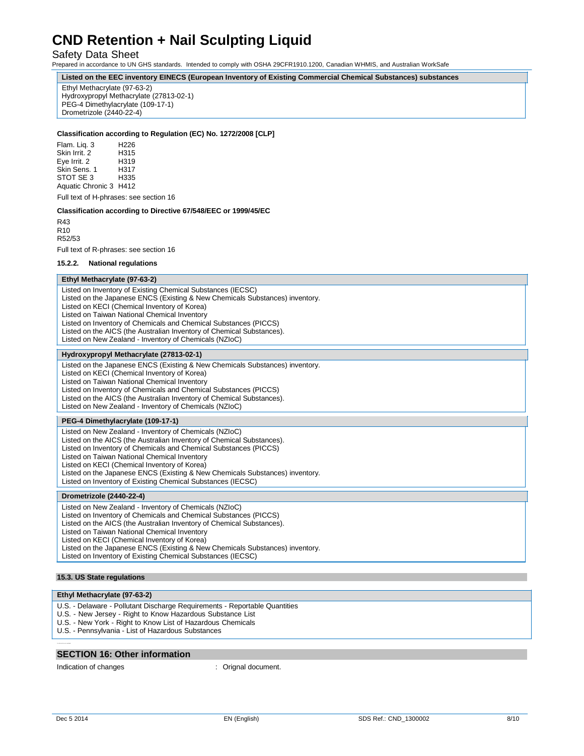## Safety Data Sheet

Prepared in accordance to UN GHS standards. Intended to comply with OSHA 29CFR1910.1200, Canadian WHMIS, and Australian WorkSafe

**Listed on the EEC inventory EINECS (European Inventory of Existing Commercial Chemical Substances) substances**

Ethyl Methacrylate (97-63-2) Hydroxypropyl Methacrylate (27813-02-1) PEG-4 Dimethylacrylate (109-17-1) Drometrizole (2440-22-4)

### **Classification according to Regulation (EC) No. 1272/2008 [CLP]**

Flam. Liq. 3 H226 Skin Irrit. 2 H315 Eye Irrit. 2 Skin Sens. 1 H317<br>STOT SE 3 H335 STOT SE 3 Aquatic Chronic 3 H412

Full text of H-phrases: see section 16

### **Classification according to Directive 67/548/EEC or 1999/45/EC**

R43 R10 R52/53

Full text of R-phrases: see section 16

#### **15.2.2. National regulations**

### **Ethyl Methacrylate (97-63-2)**

Listed on Inventory of Existing Chemical Substances (IECSC) Listed on the Japanese ENCS (Existing & New Chemicals Substances) inventory. Listed on KECI (Chemical Inventory of Korea) Listed on Taiwan National Chemical Inventory Listed on Inventory of Chemicals and Chemical Substances (PICCS) Listed on the AICS (the Australian Inventory of Chemical Substances). Listed on New Zealand - Inventory of Chemicals (NZIoC)

#### **Hydroxypropyl Methacrylate (27813-02-1)**

Listed on the Japanese ENCS (Existing & New Chemicals Substances) inventory. Listed on KECI (Chemical Inventory of Korea) Listed on Taiwan National Chemical Inventory Listed on Inventory of Chemicals and Chemical Substances (PICCS) Listed on the AICS (the Australian Inventory of Chemical Substances). Listed on New Zealand - Inventory of Chemicals (NZIoC)

### **PEG-4 Dimethylacrylate (109-17-1)**

Listed on New Zealand - Inventory of Chemicals (NZIoC) Listed on the AICS (the Australian Inventory of Chemical Substances). Listed on Inventory of Chemicals and Chemical Substances (PICCS) Listed on Taiwan National Chemical Inventory Listed on KECI (Chemical Inventory of Korea) Listed on the Japanese ENCS (Existing & New Chemicals Substances) inventory. Listed on Inventory of Existing Chemical Substances (IECSC)

### **Drometrizole (2440-22-4)**

Listed on New Zealand - Inventory of Chemicals (NZIoC) Listed on Inventory of Chemicals and Chemical Substances (PICCS)

Listed on the AICS (the Australian Inventory of Chemical Substances).

Listed on Taiwan National Chemical Inventory

Listed on KECI (Chemical Inventory of Korea)

Listed on the Japanese ENCS (Existing & New Chemicals Substances) inventory.

Listed on Inventory of Existing Chemical Substances (IECSC)

## **15.3. US State regulations**

# **Ethyl Methacrylate (97-63-2)**

- U.S. Delaware Pollutant Discharge Requirements Reportable Quantities
- U.S. New Jersey Right to Know Hazardous Substance List
- U.S. New York Right to Know List of Hazardous Chemicals
- U.S. Pennsylvania List of Hazardous Substances

# **SECTION 16: Other information**

Indication of changes  $\qquad \qquad$ : Orignal document.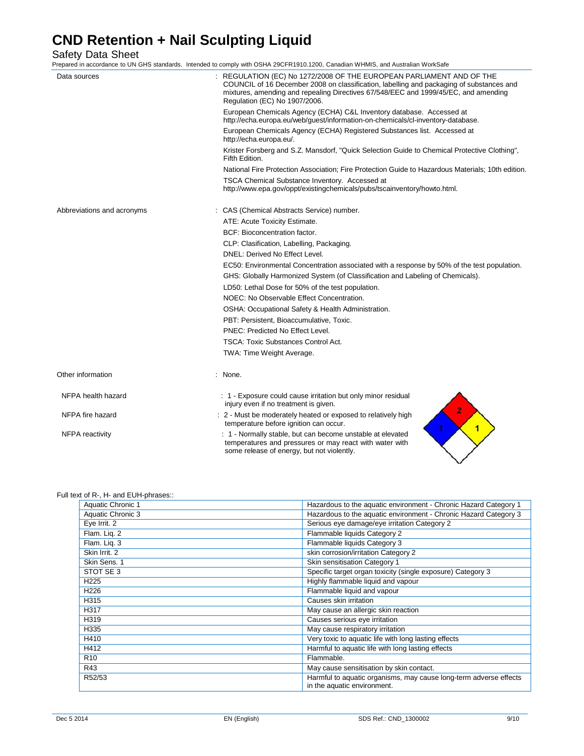Safety Data Sheet

Prepared in accordance to UN GHS standards. Intended to comply with OSHA 29CFR1910.1200, Canadian WHMIS, and Australian WorkSafe Data sources **in the sources** : REGULATION (EC) No 1272/2008 OF THE EUROPEAN PARLIAMENT AND OF THE COUNCIL of 16 December 2008 on classification, labelling and packaging of substances and mixtures, amending and repealing Directives 67/548/EEC and 1999/45/EC, and amending Regulation (EC) No 1907/2006. European Chemicals Agency (ECHA) C&L Inventory database. Accessed at [http://echa.europa.eu/web/guest/information-on-chemicals/cl-inventory-database.](http://echa.europa.eu/web/guest/information-on-chemicals/cl-inventory-database) European Chemicals Agency (ECHA) Registered Substances list. Accessed [at](http://echa.europa.eu/) [http://echa.europa.eu/.](http://echa.europa.eu/)

> Krister Forsberg and S.Z. Mansdorf, "Quick Selection Guide to Chemical Protective Clothing", Fifth Edition.

National Fire Protection Association; Fire Protection Guide to Hazardous Materials; 10th edition.

|                            | TSCA Chemical Substance Inventory. Accessed at<br>http://www.epa.gov/oppt/existingchemicals/pubs/tscainventory/howto.html. |
|----------------------------|----------------------------------------------------------------------------------------------------------------------------|
| Abbreviations and acronyms | : CAS (Chemical Abstracts Service) number.                                                                                 |
|                            | ATE: Acute Toxicity Estimate.                                                                                              |
|                            | BCF: Bioconcentration factor.                                                                                              |
|                            | CLP: Clasification, Labelling, Packaging.                                                                                  |
|                            | DNEL: Derived No Effect Level.                                                                                             |
|                            | EC50: Environmental Concentration associated with a response by 50% of the test population.                                |
|                            | GHS: Globally Harmonized System (of Classification and Labeling of Chemicals).                                             |
|                            | LD50: Lethal Dose for 50% of the test population.                                                                          |
|                            | NOEC: No Observable Effect Concentration.                                                                                  |
|                            | OSHA: Occupational Safety & Health Administration.                                                                         |
|                            | PBT: Persistent, Bioaccumulative, Toxic.                                                                                   |
|                            | PNEC: Predicted No Effect Level.                                                                                           |
|                            | <b>TSCA: Toxic Substances Control Act.</b>                                                                                 |
|                            | TWA: Time Weight Average.                                                                                                  |
| Other information          | : None.                                                                                                                    |
| NFPA health hazard         | : 1 - Exposure could cause irritation but only minor residual<br>injury even if no treatment is given.                     |
| NFPA fire hazard           | 2<br>: 2 - Must be moderately heated or exposed to relatively high<br>temperature before ignition can occur.               |
| <b>NFPA</b> reactivity     | : 1 - Normally stable, but can become unstable at elevated<br>temperatures and pressures or may react with water with      |

some release of energy, but not violently.

### Full text of R-, H- and EUH-phrases::

| Aquatic Chronic 1 | Hazardous to the aquatic environment - Chronic Hazard Category 1                                 |
|-------------------|--------------------------------------------------------------------------------------------------|
| Aquatic Chronic 3 | Hazardous to the aquatic environment - Chronic Hazard Category 3                                 |
| Eye Irrit. 2      | Serious eye damage/eye irritation Category 2                                                     |
| Flam. Lig. 2      | Flammable liquids Category 2                                                                     |
| Flam. Liq. 3      | Flammable liquids Category 3                                                                     |
| Skin Irrit. 2     | skin corrosion/irritation Category 2                                                             |
| Skin Sens. 1      | Skin sensitisation Category 1                                                                    |
| STOT SE 3         | Specific target organ toxicity (single exposure) Category 3                                      |
| H <sub>225</sub>  | Highly flammable liquid and vapour                                                               |
| H <sub>226</sub>  | Flammable liquid and vapour                                                                      |
| H315              | Causes skin irritation                                                                           |
| H317              | May cause an allergic skin reaction                                                              |
| H319              | Causes serious eye irritation                                                                    |
| H335              | May cause respiratory irritation                                                                 |
| H410              | Very toxic to aquatic life with long lasting effects                                             |
| H412              | Harmful to aquatic life with long lasting effects                                                |
| R <sub>10</sub>   | Flammable.                                                                                       |
| R43               | May cause sensitisation by skin contact.                                                         |
| R52/53            | Harmful to aquatic organisms, may cause long-term adverse effects<br>in the aquatic environment. |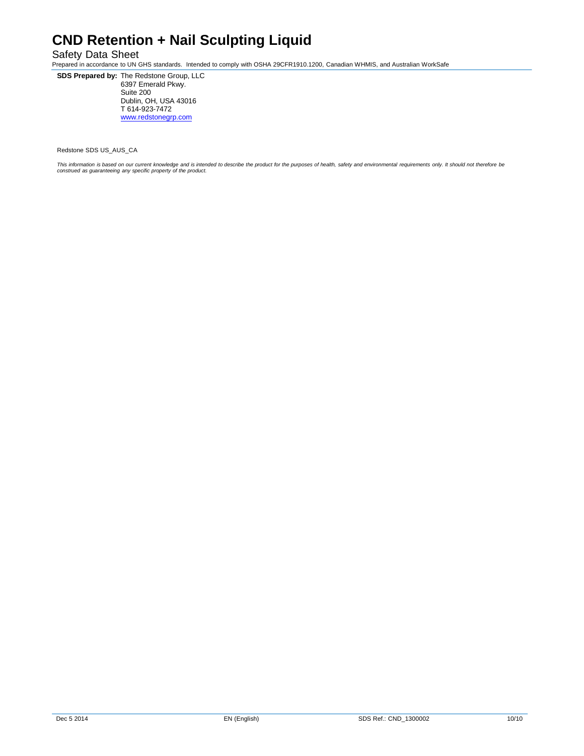# Safety Data Sheet

Prepared in accordance to UN GHS standards. Intended to comply with OSHA 29CFR1910.1200, Canadian WHMIS, and Australian WorkSafe

**SDS Prepared by:** The Redstone Group, LLC 6397 Emerald Pkwy. Suite 200 Dublin, OH, USA 43016 T 614-923-7472 [www.redstonegrp.com](http://www.redstonegrp.com/)

Redstone SDS US\_AUS\_CA

This information is based on our current knowledge and is intended to describe the product for the purposes of health, safety and environmental requirements only. It should not therefore be<br>construed as guaranteeing any sp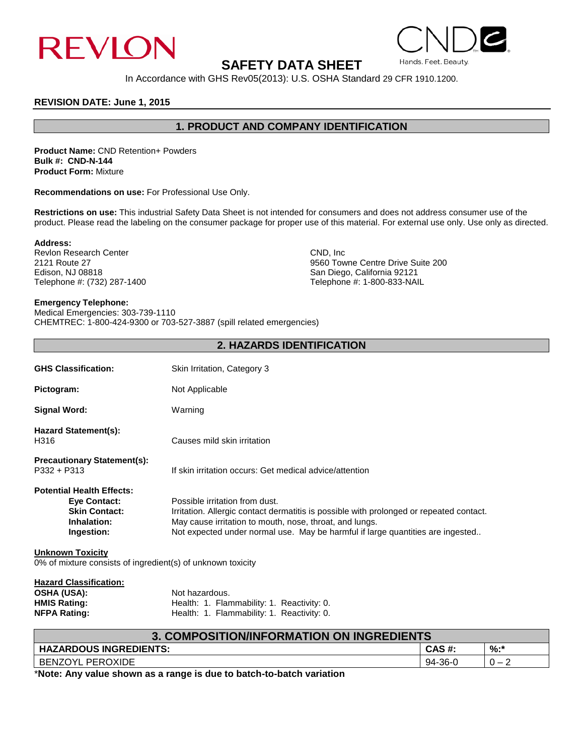

# **SAFETY DATA SHEET**

In Accordance with GHS Rev05(2013): U.S. OSHA Standard 29 CFR 1910.1200.

# **REVISION DATE: June 1, 2015**

# **1. PRODUCT AND COMPANY IDENTIFICATION**

**Product Name:** CND Retention+ Powders **Bulk #: CND-N-144 Product Form:** Mixture

**Recommendations on use:** For Professional Use Only.

**Restrictions on use:** This industrial Safety Data Sheet is not intended for consumers and does not address consumer use of the product. Please read the labeling on the consumer package for proper use of this material. For external use only. Use only as directed.

**Address:**

Revlon Research Center CND, Inc. 2121 Route 27 CND, Inc. 2121 Route 27 Telephone #: (732) 287-1400

2121 Route 27 **2121 Route 27** 9560 Towne Centre Drive Suite 200 **Control Centre Drive Suite 200** 8 and Diego, California 92121 San Diego, California 92121<br>Telephone #: 1-800-833-NAIL

# **Emergency Telephone:**

Medical Emergencies: 303-739-1110 CHEMTREC: 1-800-424-9300 or 703-527-3887 (spill related emergencies)

# **2. HAZARDS IDENTIFICATION GHS Classification:** Skin Irritation, Category 3 Pictogram: Not Applicable **Signal Word:** Warning **Hazard Statement(s):** H316 Causes mild skin irritation **Precautionary Statement(s):**  If skin irritation occurs: Get medical advice/attention **Potential Health Effects:**

**Eye Contact:** Possible irritation from dust. **Skin Contact:** Irritation. Allergic contact dermatitis is possible with prolonged or repeated contact. **Inhalation:** May cause irritation to mouth, nose, throat, and lungs.<br>**Ingestion:** Not expected under normal use. May be harmful if lare Not expected under normal use. May be harmful if large quantities are ingested..

# **Unknown Toxicity**

0% of mixture consists of ingredient(s) of unknown toxicity

| <b>Hazard Classification:</b> |                                            |
|-------------------------------|--------------------------------------------|
| <b>OSHA (USA):</b>            | Not hazardous.                             |
| <b>HMIS Rating:</b>           | Health: 1. Flammability: 1. Reactivity: 0. |
| <b>NFPA Rating:</b>           | Health: 1. Flammability: 1. Reactivity: 0. |

| <b>3. COMPOSITION/INFORMATION ON INGREDIENTS</b> |         |     |
|--------------------------------------------------|---------|-----|
| <b>HAZARDOUS INGREDIENTS:</b>                    | CAS #:  | %:* |
| <b>BENZOYL PEROXIDE</b>                          | 94-36-0 |     |

\***Note: Any value shown as a range is due to batch-to-batch variation**

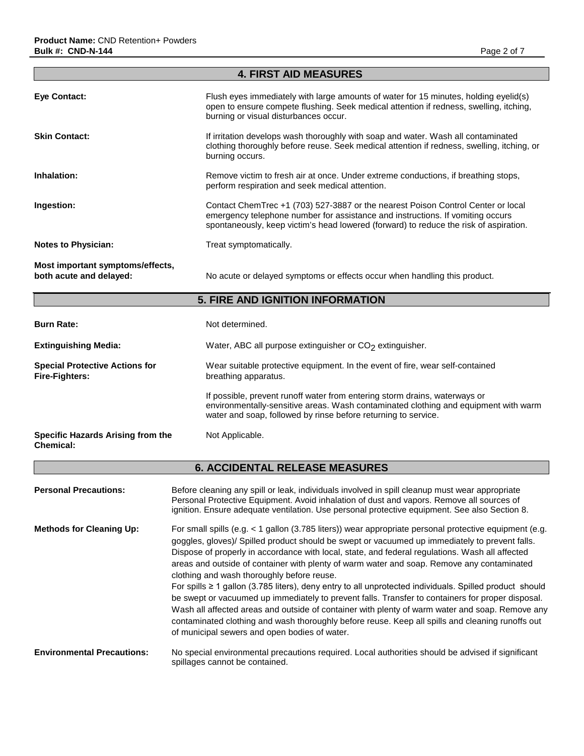| <b>4. FIRST AID MEASURES</b>                                |                                                                                                                                                                                                                                                             |  |
|-------------------------------------------------------------|-------------------------------------------------------------------------------------------------------------------------------------------------------------------------------------------------------------------------------------------------------------|--|
| Eye Contact:                                                | Flush eyes immediately with large amounts of water for 15 minutes, holding eyelid(s)<br>open to ensure compete flushing. Seek medical attention if redness, swelling, itching,<br>burning or visual disturbances occur.                                     |  |
| <b>Skin Contact:</b>                                        | If irritation develops wash thoroughly with soap and water. Wash all contaminated<br>clothing thoroughly before reuse. Seek medical attention if redness, swelling, itching, or<br>burning occurs.                                                          |  |
| Inhalation:                                                 | Remove victim to fresh air at once. Under extreme conductions, if breathing stops,<br>perform respiration and seek medical attention.                                                                                                                       |  |
| Ingestion:                                                  | Contact ChemTrec +1 (703) 527-3887 or the nearest Poison Control Center or local<br>emergency telephone number for assistance and instructions. If vomiting occurs<br>spontaneously, keep victim's head lowered (forward) to reduce the risk of aspiration. |  |
| <b>Notes to Physician:</b>                                  | Treat symptomatically.                                                                                                                                                                                                                                      |  |
| Most important symptoms/effects,<br>both acute and delayed: | No acute or delayed symptoms or effects occur when handling this product.                                                                                                                                                                                   |  |

# **5. FIRE AND IGNITION INFORMATION**

| <b>Burn Rate:</b>                                              | Not determined.                                                                                                                                                                                                                     |  |
|----------------------------------------------------------------|-------------------------------------------------------------------------------------------------------------------------------------------------------------------------------------------------------------------------------------|--|
| <b>Extinguishing Media:</b>                                    | Water, ABC all purpose extinguisher or CO <sub>2</sub> extinguisher.                                                                                                                                                                |  |
| <b>Special Protective Actions for</b><br><b>Fire-Fighters:</b> | Wear suitable protective equipment. In the event of fire, wear self-contained<br>breathing apparatus.                                                                                                                               |  |
|                                                                | If possible, prevent runoff water from entering storm drains, waterways or<br>environmentally-sensitive areas. Wash contaminated clothing and equipment with warm<br>water and soap, followed by rinse before returning to service. |  |
| Specific Hazards Arising from the<br>Chemical:                 | Not Applicable.                                                                                                                                                                                                                     |  |

# **6. ACCIDENTAL RELEASE MEASURES**

| <b>Personal Precautions:</b>      | Before cleaning any spill or leak, individuals involved in spill cleanup must wear appropriate<br>Personal Protective Equipment. Avoid inhalation of dust and vapors. Remove all sources of<br>ignition. Ensure adequate ventilation. Use personal protective equipment. See also Section 8.                                                                                                                                                                                                                                                                                                                                                                                                                                                                                                                                                                                                                                    |
|-----------------------------------|---------------------------------------------------------------------------------------------------------------------------------------------------------------------------------------------------------------------------------------------------------------------------------------------------------------------------------------------------------------------------------------------------------------------------------------------------------------------------------------------------------------------------------------------------------------------------------------------------------------------------------------------------------------------------------------------------------------------------------------------------------------------------------------------------------------------------------------------------------------------------------------------------------------------------------|
| <b>Methods for Cleaning Up:</b>   | For small spills (e.g. < 1 gallon (3.785 liters)) wear appropriate personal protective equipment (e.g.<br>goggles, gloves)/ Spilled product should be swept or vacuumed up immediately to prevent falls.<br>Dispose of properly in accordance with local, state, and federal regulations. Wash all affected<br>areas and outside of container with plenty of warm water and soap. Remove any contaminated<br>clothing and wash thoroughly before reuse.<br>For spills ≥ 1 gallon (3.785 liters), deny entry to all unprotected individuals. Spilled product should<br>be swept or vacuumed up immediately to prevent falls. Transfer to containers for proper disposal.<br>Wash all affected areas and outside of container with plenty of warm water and soap. Remove any<br>contaminated clothing and wash thoroughly before reuse. Keep all spills and cleaning runoffs out<br>of municipal sewers and open bodies of water. |
| <b>Environmental Precautions:</b> | No special environmental precautions required. Local authorities should be advised if significant<br>spillages cannot be contained.                                                                                                                                                                                                                                                                                                                                                                                                                                                                                                                                                                                                                                                                                                                                                                                             |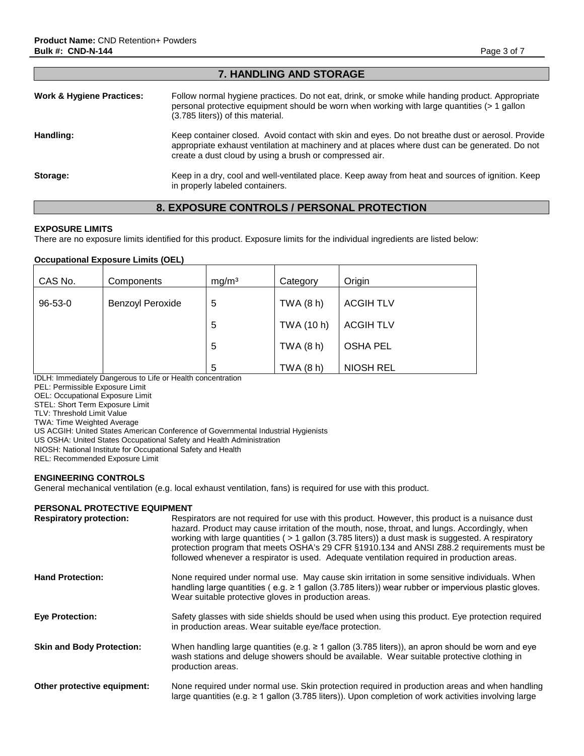| $\blacksquare$                       |                                                                                                                                                                                                                                                               |  |
|--------------------------------------|---------------------------------------------------------------------------------------------------------------------------------------------------------------------------------------------------------------------------------------------------------------|--|
| <b>Work &amp; Hygiene Practices:</b> | Follow normal hygiene practices. Do not eat, drink, or smoke while handing product. Appropriate<br>personal protective equipment should be worn when working with large quantities (> 1 gallon<br>(3.785 liters)) of this material.                           |  |
| Handling:                            | Keep container closed. Avoid contact with skin and eyes. Do not breathe dust or aerosol. Provide<br>appropriate exhaust ventilation at machinery and at places where dust can be generated. Do not<br>create a dust cloud by using a brush or compressed air. |  |
| Storage:                             | Keep in a dry, cool and well-ventilated place. Keep away from heat and sources of ignition. Keep<br>in properly labeled containers.                                                                                                                           |  |

**7. HANDLING AND STORAGE**

# **8. EXPOSURE CONTROLS / PERSONAL PROTECTION**

## **EXPOSURE LIMITS**

There are no exposure limits identified for this product. Exposure limits for the individual ingredients are listed below:

## **Occupational Exposure Limits (OEL)**

| CAS No.       | Components              | mg/m <sup>3</sup> | Category   | Origin           |
|---------------|-------------------------|-------------------|------------|------------------|
| $96 - 53 - 0$ | <b>Benzoyl Peroxide</b> | 5                 | TWA (8 h)  | <b>ACGIH TLV</b> |
|               |                         | 5                 | TWA (10 h) | <b>ACGIH TLV</b> |
|               |                         | 5                 | TWA (8 h)  | <b>OSHA PEL</b>  |
|               |                         | 5                 | TWA (8 h)  | <b>NIOSH REL</b> |

IDLH: Immediately Dangerous to Life or Health concentration

PEL: Permissible Exposure Limit

OEL: Occupational Exposure Limit

STEL: Short Term Exposure Limit

TLV: Threshold Limit Value TWA: Time Weighted Average

US ACGIH: United States American Conference of Governmental Industrial Hygienists

US OSHA: United States Occupational Safety and Health Administration

NIOSH: National Institute for Occupational Safety and Health

REL: Recommended Exposure Limit

# **ENGINEERING CONTROLS**

General mechanical ventilation (e.g. local exhaust ventilation, fans) is required for use with this product.

# **PERSONAL PROTECTIVE EQUIPMENT**

| <b>Respiratory protection:</b>   | Respirators are not required for use with this product. However, this product is a nuisance dust<br>hazard. Product may cause irritation of the mouth, nose, throat, and lungs. Accordingly, when<br>working with large quantities ( $> 1$ gallon (3.785 liters)) a dust mask is suggested. A respiratory<br>protection program that meets OSHA's 29 CFR §1910.134 and ANSI Z88.2 requirements must be<br>followed whenever a respirator is used. Adequate ventilation required in production areas. |
|----------------------------------|------------------------------------------------------------------------------------------------------------------------------------------------------------------------------------------------------------------------------------------------------------------------------------------------------------------------------------------------------------------------------------------------------------------------------------------------------------------------------------------------------|
| <b>Hand Protection:</b>          | None required under normal use. May cause skin irritation in some sensitive individuals. When<br>handling large quantities (e.g. $\geq 1$ gallon (3.785 liters)) wear rubber or impervious plastic gloves.<br>Wear suitable protective gloves in production areas.                                                                                                                                                                                                                                   |
| <b>Eye Protection:</b>           | Safety glasses with side shields should be used when using this product. Eye protection required<br>in production areas. Wear suitable eye/face protection.                                                                                                                                                                                                                                                                                                                                          |
| <b>Skin and Body Protection:</b> | When handling large quantities (e.g. $\geq 1$ gallon (3.785 liters)), an apron should be worn and eye<br>wash stations and deluge showers should be available. Wear suitable protective clothing in<br>production areas.                                                                                                                                                                                                                                                                             |
| Other protective equipment:      | None required under normal use. Skin protection required in production areas and when handling<br>large quantities (e.g. $\geq 1$ gallon (3.785 liters)). Upon completion of work activities involving large                                                                                                                                                                                                                                                                                         |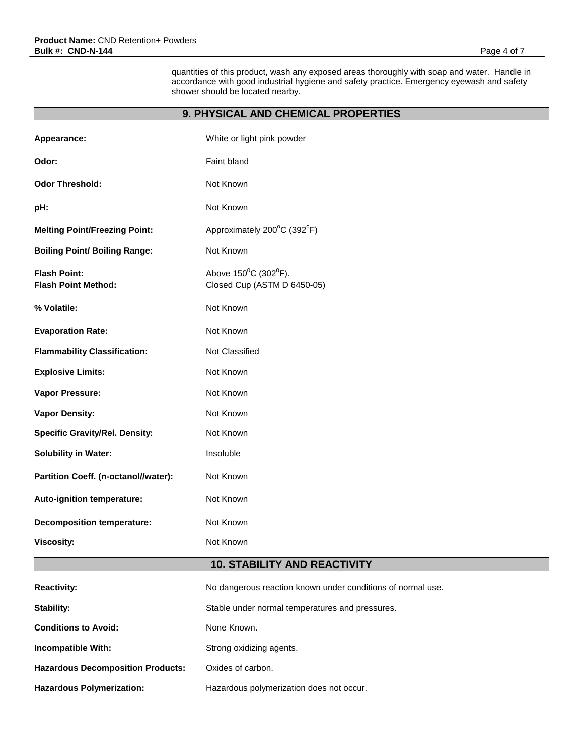quantities of this product, wash any exposed areas thoroughly with soap and water. Handle in accordance with good industrial hygiene and safety practice. Emergency eyewash and safety shower should be located nearby.

# **9. PHYSICAL AND CHEMICAL PROPERTIES**

| Appearance:                                       | White or light pink powder                                               |  |
|---------------------------------------------------|--------------------------------------------------------------------------|--|
| Odor:                                             | Faint bland                                                              |  |
| <b>Odor Threshold:</b>                            | Not Known                                                                |  |
| pH:                                               | Not Known                                                                |  |
| <b>Melting Point/Freezing Point:</b>              | Approximately 200°C (392°F)                                              |  |
| <b>Boiling Point/ Boiling Range:</b>              | Not Known                                                                |  |
| <b>Flash Point:</b><br><b>Flash Point Method:</b> | Above $150^{\circ}$ C (302 $^{\circ}$ F).<br>Closed Cup (ASTM D 6450-05) |  |
| % Volatile:                                       | Not Known                                                                |  |
| <b>Evaporation Rate:</b>                          | Not Known                                                                |  |
| <b>Flammability Classification:</b>               | Not Classified                                                           |  |
| <b>Explosive Limits:</b>                          | Not Known                                                                |  |
| Vapor Pressure:                                   | Not Known                                                                |  |
| <b>Vapor Density:</b>                             | Not Known                                                                |  |
| <b>Specific Gravity/Rel. Density:</b>             | Not Known                                                                |  |
| <b>Solubility in Water:</b>                       | Insoluble                                                                |  |
| Partition Coeff. (n-octanol//water):              | Not Known                                                                |  |
| Auto-ignition temperature:                        | Not Known                                                                |  |
| <b>Decomposition temperature:</b>                 | Not Known                                                                |  |
| <b>Viscosity:</b>                                 | Not Known                                                                |  |
| <b>10. STABILITY AND REACTIVITY</b>               |                                                                          |  |
| <b>Reactivity:</b>                                | No dangerous reaction known under conditions of normal use.              |  |
| Stability:                                        | Stable under normal temperatures and pressures.                          |  |
| <b>Conditions to Avoid:</b>                       | None Known.                                                              |  |
| Incompatible With:                                | Strong oxidizing agents.                                                 |  |
| <b>Hazardous Decomposition Products:</b>          | Oxides of carbon.                                                        |  |
| <b>Hazardous Polymerization:</b>                  | Hazardous polymerization does not occur.                                 |  |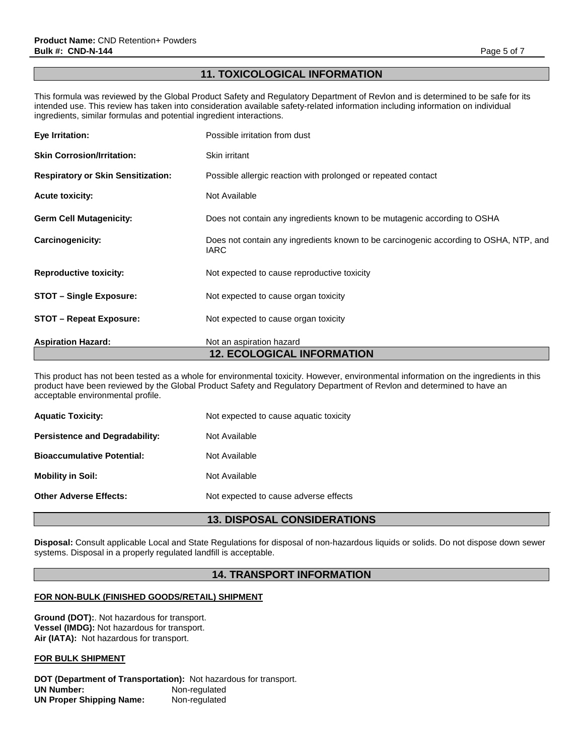# **11. TOXICOLOGICAL INFORMATION**

This formula was reviewed by the Global Product Safety and Regulatory Department of Revlon and is determined to be safe for its intended use. This review has taken into consideration available safety-related information including information on individual ingredients, similar formulas and potential ingredient interactions.

| <b>12. ECOLOGICAL INFORMATION</b>         |                                                                                                      |  |
|-------------------------------------------|------------------------------------------------------------------------------------------------------|--|
| <b>Aspiration Hazard:</b>                 | Not an aspiration hazard                                                                             |  |
| <b>STOT – Repeat Exposure:</b>            | Not expected to cause organ toxicity                                                                 |  |
| <b>STOT – Single Exposure:</b>            | Not expected to cause organ toxicity                                                                 |  |
| <b>Reproductive toxicity:</b>             | Not expected to cause reproductive toxicity                                                          |  |
| <b>Carcinogenicity:</b>                   | Does not contain any ingredients known to be carcinogenic according to OSHA, NTP, and<br><b>IARC</b> |  |
| <b>Germ Cell Mutagenicity:</b>            | Does not contain any ingredients known to be mutagenic according to OSHA                             |  |
| <b>Acute toxicity:</b>                    | Not Available                                                                                        |  |
| <b>Respiratory or Skin Sensitization:</b> | Possible allergic reaction with prolonged or repeated contact                                        |  |
| <b>Skin Corrosion/Irritation:</b>         | Skin irritant                                                                                        |  |
| Eye Irritation:                           | Possible irritation from dust                                                                        |  |

This product has not been tested as a whole for environmental toxicity. However, environmental information on the ingredients in this product have been reviewed by the Global Product Safety and Regulatory Department of Revlon and determined to have an acceptable environmental profile.

| <b>Aquatic Toxicity:</b>              | Not expected to cause aquatic toxicity |
|---------------------------------------|----------------------------------------|
| <b>Persistence and Degradability:</b> | Not Available                          |
| <b>Bioaccumulative Potential:</b>     | Not Available                          |
| <b>Mobility in Soil:</b>              | Not Available                          |
| <b>Other Adverse Effects:</b>         | Not expected to cause adverse effects  |

# **13. DISPOSAL CONSIDERATIONS**

**Disposal:** Consult applicable Local and State Regulations for disposal of non-hazardous liquids or solids. Do not dispose down sewer systems. Disposal in a properly regulated landfill is acceptable.

# **14. TRANSPORT INFORMATION**

# **FOR NON-BULK (FINISHED GOODS/RETAIL) SHIPMENT**

**Ground (DOT):**. Not hazardous for transport. **Vessel (IMDG):** Not hazardous for transport. **Air (IATA):** Not hazardous for transport.

## **FOR BULK SHIPMENT**

**DOT (Department of Transportation):** Not hazardous for transport. **UN Number:** Non-regulated **UN Proper Shipping Name:** Non-regulated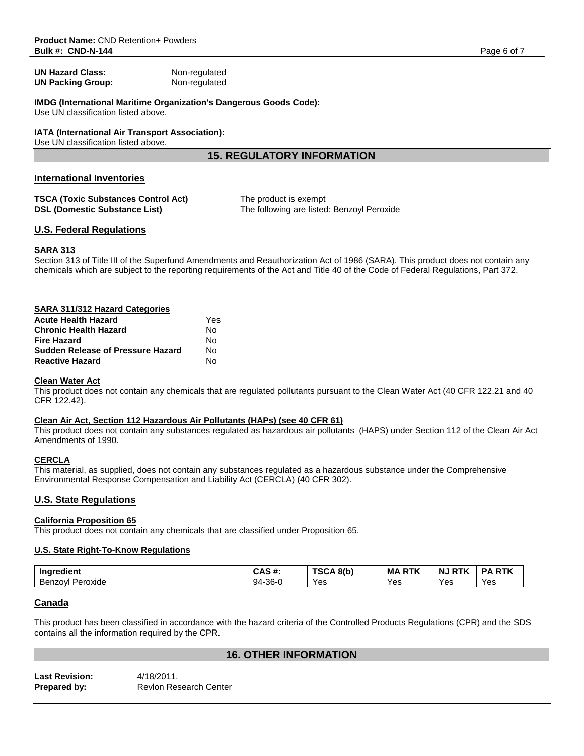**UN Hazard Class:** Non-regulated **UN Packing Group:** Non-regulated

**IMDG (International Maritime Organization's Dangerous Goods Code):**

Use UN classification listed above.

# **IATA (International Air Transport Association):**

Use UN classification listed above.

# **15. REGULATORY INFORMATION**

# **International Inventories**

| TSCA (Toxic Substances Control Act) | The product is exempt                      |
|-------------------------------------|--------------------------------------------|
| DSL (Domestic Substance List)       | The following are listed: Benzoyl Peroxide |

# **U.S. Federal Regulations**

# **SARA 313**

Section 313 of Title III of the Superfund Amendments and Reauthorization Act of 1986 (SARA). This product does not contain any chemicals which are subject to the reporting requirements of the Act and Title 40 of the Code of Federal Regulations, Part 372.

| SARA 311/312 Hazard Categories    |     |
|-----------------------------------|-----|
| <b>Acute Health Hazard</b>        | Yes |
| Chronic Health Hazard             | Nο  |
| Fire Hazard                       | No  |
| Sudden Release of Pressure Hazard | Nο  |
| <b>Reactive Hazard</b>            | No. |

# **Clean Water Act**

This product does not contain any chemicals that are regulated pollutants pursuant to the Clean Water Act (40 CFR 122.21 and 40 CFR 122.42).

## **Clean Air Act, Section 112 Hazardous Air Pollutants (HAPs) (see 40 CFR 61)**

This product does not contain any substances regulated as hazardous air pollutants (HAPS) under Section 112 of the Clean Air Act Amendments of 1990.

# **CERCLA**

This material, as supplied, does not contain any substances regulated as a hazardous substance under the Comprehensive Environmental Response Compensation and Liability Act (CERCLA) (40 CFR 302).

# **U.S. State Regulations**

# **California Proposition 65**

This product does not contain any chemicals that are classified under Proposition 65.

# **U.S. State Right-To-Know Regulations**

| . .<br>Ingredient        | <b>CAC #</b><br>UMJ #. | 8(b)<br>T00<br><br>יש | <b>MA</b><br>--- | <b>RTK</b><br>N. | <b>RTK</b><br><b>DA</b> |
|--------------------------|------------------------|-----------------------|------------------|------------------|-------------------------|
| -<br>Peroxide<br>Benzovl | $-36-0$<br>94          | Yes                   | Yes              | Yes              | Yes                     |

# **Canada**

This product has been classified in accordance with the hazard criteria of the Controlled Products Regulations (CPR) and the SDS contains all the information required by the CPR.

# **16. OTHER INFORMATION**

| <b>Last Revision:</b> | 4/18/2011.                    |
|-----------------------|-------------------------------|
| Prepared by:          | <b>Revion Research Center</b> |